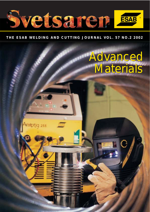

# **THE ESAB WELDING AND CUTTING JOURNAL VOL. 57 NO.2 2002**

**Register** 

# Advanced Advanced Materials Materials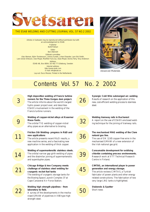

#### THE ESAB WELDING AND CUTTING JOURNAL VOL. 57 NO.2 2002

Articles in Svetsaren may be reproduced without permission but with an acknowledgement to ESAB. *Publisher* Bertil Pekkari *Editor* Ben Altemühl

*Editorial committee* Klas Weman, Björn Torstensson, Johnny Sundin, Johan Elvander, Lars-Erik Stridh, Lars-Göran Eriksson, Uwe Mayer, Manfred Funccius, Dave Meyer, Donna Terry, Tony Anderson *Address* ESAB AB, Box 8004, SE-402 77 Göteborg, Sweden

*Internet address* http://www.esab.com E-mail: info@esab.se Lay-out: Duco Messie, Printed in the Netherlands



*Advanced Materials*

# Contents Vol. 57 No. 2 2002

| 3  | High deposition welding of Francis turbine<br>runners for the Three Gorges dam project.<br>The article informs about the world's largest<br>hydro power project ever, and describes<br>ESAB's involvement in the welding of the            | 26 |
|----|--------------------------------------------------------------------------------------------------------------------------------------------------------------------------------------------------------------------------------------------|----|
|    | Francis turbine runners.                                                                                                                                                                                                                   |    |
|    | Welding of copper-nickel alloys at Kvaerner<br>Masa-Yards.<br>The orbital TIG welding of copper-nickel<br>alloy pipes as an alternative to brazing.                                                                                        | 32 |
| 11 | Friction Stir Welding- progress in R&D and<br>new applications<br>The article presents recent R&D results, a<br>new machine series, and a fascinating new<br>application in the welding of thick copper.                                   | 36 |
| 14 | Welding of supermartensitic stainless steels.<br>The orbital narrow gap girth welding of pipes<br>and the dissimilar joining of supermartensitic<br>and superduplex pipes.                                                                 | 39 |
| 21 | Chicago Bridge & Iron Company meets<br>challenge of stainless steel welding for<br>cryogenic rocket fuel tanks<br>The welding of cryogenic storage tanks for<br>the Boeing Space Launch Complex 37 at<br>Cape Canaveral Air Force Station. | 45 |
| 22 | Welding high strength pipelines - from<br>laboratory to field.<br>A survey of the developments in the mecha-<br>nised GMAW of pipelines in X80 type high                                                                                   | 50 |

strength steel.

**[Synergic Cold Wire submerged arc welding](#page-25-0)** Results of research on the application of this new, cost-efficient welding process to stainless steel.

**Welding tramway rails in Bucharest** [A report on the use of ESAB's enclosed weld](#page-31-0)ing technique for the joining of tramway rails.



**[The mechanised MAG welding of the Clare](#page-35-0) natural gas line.**

The use of OK 12.65 copper-free wire in the mechanised GMAW of a new extension of the Irish national gas grid.

**Consumable development for oxidising [chloride containing process environments.](#page-38-0)** Research work at VTT Technical Research Centre in Finland.

**CIMTAS, an international player in power generation and energy storage.** The article reviews CIMTAS, a Turkish fabricator of power plants and other energy [related constructions. The fabrication of two](#page-44-0) very large LNG tanks is highlighted.

**[Stubends & Spatter](#page-49-0)** Short news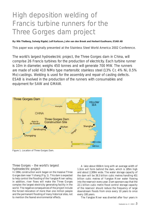# <span id="page-2-0"></span>High deposition welding of Francis turbine runners for the Three Gorges dam project

**By: Nils Thalberg, Solveig Rigdal, Leif Karlsson, John van den Broek and Herbert Kaufmann, ESAB AB**

This paper was originally presented at the Stainless Steel World America 2002 Conference.

The world's largest hydroelectric project, the Three Gorges dam in China, will comprise 26 Francis turbines for the production of electricity. Each turbine runner is 10m in diameter, weighs 450 tonnes and will generate 700 MW. The runners are made of solid 410 NiMo type martensitic stainless steel (13% Cr, 4% Ni, 0.5% Mo) castings. Welding is used for the assembly and repair of casting defects. ESAB is involved in the production of the runners with consumables and equipment for SAW and GMAW.



*Figure 1. Location of Three Gorges Dam.*

# Three Gorges – the world's largest hydroelectric project

In 1994, construction work began on the massive Three Gorges dam near Yichang (Fig. 1). This dam is expected to help control the flooding of the Yangtze River valley; in addition, river flows will make the Three Gorges complex the largest electricity generating facility in the world. The negative consequences of the project include the forced relocation of more than one million people and the permanent flooding of many historical sites, not to mention the feared environmental effects.

A lake about 650km long with an average width of 1.1km will form behind the dam, which is 185m high and about 2,309m wide. The water storage capacity of the dam will be 39.3 billion cubic metres handling 451 billion cubic metres of Yangtze River water flowing into the reservoir every year. Dam sponsors say that the 22.1 billion cubic metre flood control storage capacity of the reservoir should reduce the frequency of large downstream floods from once every 10 years to once every 100 years.

The Yangtze River was diverted after four years in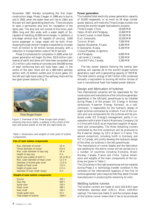November 1997, thereby completing the first major construction stage. Phase 2 began in 1998 and is due to end in 2003, when the water level will rise to 156m and the dam will start generating electricity. There are plans to open a permanent ship lock for navigation in the same year. The ship lock will consist of five locks, each 280m long and 35m wide, with a water depth of 5m, capable of handling 10,000-tonne barges. In addition, a one-stage vertical ship lift capable of carrying 3,000 tonne passenger or cargo vessel will be built. River shipping through central Yangtze is expected to increase from 10 million to 50 million tonnes annually, with a reduction in transportation costs of 30-37 percent.

Phase 3 is scheduled for completion in 2009, when full power generation will begin. By then, 102.6 million cubic metres of earth and stone will have been excavated and 27.2 million cubic metres of concrete and 354,000 tonnes of steel reinforcing bars will have been used. In the centre of the dam, there will be a 484-metre spillway section with 23 bottom outlets and 22 sluice gates. On the left and right hand sides of the spillway, there will be two giant power stations (Fig. 2).



*Figure 2. Overview of the Three Gorges dam project showing ship-locks (right), a spillway in the centre of the dam and power plants on the left and right banks (3).*

*Table 1. Dimensions and weights of main parts of turbine components.*

| Size of main turbine components   |                  |
|-----------------------------------|------------------|
| Max. Diameter of runner           | 10 <sub>m</sub>  |
| Throat diameter of runner         | 9.8 <sub>m</sub> |
| Max. outer diameter of stay ring  | 16 <sub>m</sub>  |
| Height of stay ring               | 4 m              |
| Spiral case outline (X-X)/(Y-Y)   | 34 m/30 m        |
| Max, outer diameter of head cover | 13.3 m           |
| Diameter of wicket gate circle    | 11.6 m           |
| Height of head cover              | 1.8 <sub>m</sub> |
| Height of guide vane              | 2.9 <sub>m</sub> |
| Diameter of main shaft (body)     | 4 <sub>m</sub>   |
| Weight of main turbine components |                  |
| Runner                            | 450t             |
| Stay ring                         | 400 <sub>t</sub> |
| Spiral case                       | 700 t            |
| <b>Head cover</b>                 | 380 t            |
| Main shaft                        | 140 t            |
| Single guide vane                 | 9.5 t            |
| Total weight of turbine           | 3300 t           |

#### **Power generation**

The installed total electricity power-generation capacity of 18,200 megawatts, or as much as 18 large nuclear power stations, will make the Three Gorges number one among the world's largest hydroelectric projects:

| among the world's largest hydroclectric projects. |           |
|---------------------------------------------------|-----------|
| Three Gorges, China,                              | 18,200 MW |
| Itaipu, Brazil and Paraguay,                      | 12,600 MW |
| Grand Coulee, United States,                      | 10,100 MW |
| Guri, Venezuela,                                  | 10,100 MW |
| Tucuruii, Brazil,                                 | 7,500 MW  |
| Sayano-Shushensk, Russia,                         | 6,400 MW  |
| Krasnoyarsk, Russia,                              | 6,100 MW  |
| Corpus-Posadas, Argentina                         |           |
| and Paraguay,                                     | 6.000 MW  |
| LaGrande 2, Canada,                               | 5,300 MW  |
| Churchill Falls, Canada,                          | 5,200 MW  |
|                                                   |           |

The two power stations flanking the central dam spillway will operate 26 of the world's largest turbine generators, each with a generating capacity of 700 MW. The total electric energy of 84.7 billion kWh produced annually is equivalent to burning 40 million tonnes of coal in conventional fossil fuel-heated power stations.

#### Design and fabrication of turbines

Two international consortia will be responsible for the construction and manufacture of the 14 turbine generator assemblies in the left-bank powerhouse to be installed during Phase 2 of the project. GE Energy in Norway (previously Kvaerner Energy, Norway), as a subcontractor, is responsible for the hydraulic design of eight turbines contracted by Alsthom. Five of the runners and core components for the turbines will be produced under GE Energy's management, partly in cooperation with Harbin Electric Machinery Company Ltd in China with ESAB as an important supplier of equipment and consumables. The three remaining runners contracted by the first consortium will be produced to the Kvaerner design by GEC-Alstom in France. The second consortium, including Voith in Germany and GE in Canada, will jointly develop the hydraulic design of the other six turbines in the left powerhouse.

The manufacture of runner blades and the fabrication and welding for the entire runner will be carried out in a number of countries including Romania, Brazil, Norway, Canada, France and China. Typical dimensions and weights of the main components of the turbines are given in Table 1.

The 12 turbines in the right powerhouse will be installed during Phase 3. A technology transfer condition in the contracts of the international suppliers of the first 14 turbine-generator pairs requires that they assist Chinese manufacturers in producing the remaining 12 units.

#### Welding turbine runners

The turbine runners are made of solid 410 NiMo type martensitic stainless steel (13%Cr, 4%Ni, 0.5%Mo) castings. The mere size (table 1) and the complex shape of the turbine runner means that it has to be produced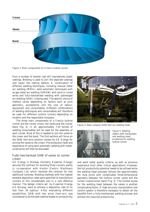

*Figure 3. Main components of a Francis turbine runner.*

from a number of smaller (yet still impressively sized) castings. Welding is used to join the separate castings and repair the casting defects. A combination of different welding techniques, including manual metal arc welding (MMA), semi-automatic techniques such as gas metal arc welding (GMAW) with solid or cored wires and fully-mechanised welding with submerged arc welding (SAW), is being used. The specific choice of method varies depending on factors such as joint geometry, accessibility and the cost of labour, equipment and consumables. Different combinations of welding techniques and consumables will therefore be used for different turbine runners depending on location and the responsible company.

The three main components of a Francis turbine runner are the runner crown, the vanes and the runner band (fig. 3). In all, approximately 7-10 tonnes of welding consumables will be used for the assembly of each runner. Most of this is needed to join the vanes to the crown and the band. The first sections will focus on the SAW twin-wire solution chosen by GE Energy for joining the vanes to the crown. Pre-production tests and experience of using semi-automatic welding with metalcored wires will then be discussed.

#### Fully-mechanised SAW of vanes to runner crown

GE Energy in Norway (formerly Kvaerner Energy) secured the contract for building three runners, partly in co-operation with Harbin Electric Machinery Company Ltd, which received the contract for two additional turbines. Welding methods with the highest possible deposition rates were specified to manufacture runners of this considerable size in a cost effective manner. The design criteria set by Kvaerner Energy AS, Norway, were to achieve a deposition rate of no less than 16 kg/hour. After evaluating different possibilities, SAW with two wires (twin-arc) was considered to be the best method based on productivity



*Figure 4. New compact SAW twin arc welding head.*



*Figure 5. Welding station with manipulator and welding head positioned for welding turbine runner.*

and weld metal quality criteria, as well as previous experience from other critical applications. However, the full productivity potential needs to be utilised while the welding head precisely follows the approximately 4m long joints with complicated three-dimensional geometry between the turbine runner vanes and the runner crown/runner band (Fig. 3). The limited access for the welding head between the vanes is another complicating factor. A high-accuracy manipulation and control system is therefore necessary to obtain all the benefits from a fully-mechanised welding process and achieve the required productivity.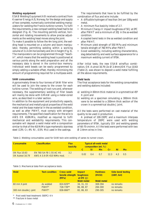#### **Welding equipment**

ESAB Welding Equipment AB received a contract from Kvaerner Energy A/S, Norway, for the design and supply of two complete, numerically controlled welding manipulators for welding the Francis turbine runners. To fulfil the requirements, a new compact welding head had to be designed (Fig. 4). The mounting permits vertical, horizontal and rotating movements to allow precise adjustments as the welding head moves along the joint.

To make it possible to follow the 4m long joint, the welding head is mounted on a column and boom manipulator, thereby permitting welding within a working volume of 2 x 4.3m horizontally and 2m in height (Fig. 5). The manipulators can be programmed through "teachin", which means that the welding head is positioned at various points along the weld preparation and all the necessary data is stored in the control-box memory. Individual weld beads can be easily programmed by simply adding a suitable offset, thereby minimising the amount of programming required for a multipass weld.

#### **SAW consumables**

Approximately three to four tonnes of SAW filler wire will be used to join the vanes to the crown for each turbine runner. The welding of root runs and, wherever necessary, the supplementary welding of filler beads will mainly be done with GMAW using a metal-cored wire, as described in a later section.

In addition to the equipment and productivity aspects, the mechanical and metallurgical properties of the weld metal and the base material in the as-welded condition, as well as after PWHT, must comply with stringent requirements. The specified classification for the wire is AWS ER 410NiMo, modified as required to fulfil mechanical and weldability requirements. This consumable will deposit a weld metal with a composition similar to that of the 410 NiMo type martensitic stainless steel (13% Cr, 4% Ni , 0.5% Mo) used in the castings.

The requirements that have to be fulfilled by the combination of flux and wire include:

- A diffusible hydrogen of less than 3ml per 100g weld metal.
- A minimum flux basicity index of 2.7.
- Minimum Charpy-V impact toughness of 50 J at 0ºC after PWHT and a minimum of 20J in the as-welded condition.
- Accepted bend tests in the as welded condition and after PWHT.
- Minimum yield strength of 550 MPa and minimum tensile strength of 760 MPa after PWHT.
- Good weldability, including wetting characteristics, slag detachability and weld surface appearance for a maximum welding current of 970A.

After initial tests, the new ESAB wire/flux combination, OK Autrod 16.79 (2x Ø 2.4mm)/OK Flux 10.63 (Table 2), was shown to deposit a weld metal fulfilling all the above requirements.

#### **Weld tests**

The final acceptance tests for the welding consumables and welding stations included:

- a) welding in 60mm thick material in a symmetrical 45º X-joint and
- b) welding on a specimen simulating a 300mm thick vane to be welded to a 200mm thick section of the crown in a symmetrical double J joint.

All the tests were performed on cast material of the quality to be used in production.

A preheat of 100-150ºC and a maximum interpass temperature of 200ºC were used with welding parameters of 970A, typically 31V and welding speeds of 60-70 cm/min. All the tests were performed with two Ø 2.4mm wires in line.

*Table 2. Welding consumables used for SAW twin wire welding of vanes to runner crown.*

| Consumable                              | <b>Classification</b>                                 | <b>Flux</b><br>basicity |  | <b>Typical all-weld metal</b><br>composition (wt. %) |     |     |     |
|-----------------------------------------|-------------------------------------------------------|-------------------------|--|------------------------------------------------------|-----|-----|-----|
|                                         |                                                       |                         |  | Mn.                                                  | -Cr | Ni. | -Mo |
| <b>OK Flux 10.63</b><br>OK Autrod 16.79 | EN 760 SA FB 1 55 AC H5<br>AWS A 5.9 ER 410 NiMo mod. | 3.2                     |  | $0.02$ 0.4 0.7 12.3 4.3 0.5                          |     |     |     |

*Table 3. Mechanical data from acceptance tests.*

| <b>Weld</b>                            | <b>Test condition</b>       | <b>Cross weld</b><br>tensile strength toughness<br>(MPa) | <b>Impact</b><br>at $0^{\circ}$ C (J)<br><b>Weld metal</b> | <b>Hardness</b><br>(HV10)<br><b>Weld metal</b> | Side bend testing<br>$(180^{\circ}, 6xt)$ |
|----------------------------------------|-----------------------------|----------------------------------------------------------|------------------------------------------------------------|------------------------------------------------|-------------------------------------------|
| 60 mm X-joint<br>300 mm double J-joint | As welded<br>PWHT*<br>PWHT* | 824-829**<br>728-739**<br>838-866**                      | 34, 31, 33<br>86, 88, 87<br>82, 86, 83                     | 369-394<br>284-300<br>290-305                  | no remarks<br>no remarks<br>no remarks    |

\* Post weld heat treatment: 580ºC/ 4 h

\*\* Fracture in base metal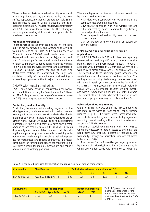The acceptance criteria included weldability aspects such as wetting characteristics, slag detachability and weld surface appearance, mechanical properties (Table 3) and non-destructive testing using ultrasonic and radiographic examination. The test results were satisfactory and ESAB was awarded a contract for the delivery of two complete welding stations with an option also to purchase consumables.

#### **Production experience**

The thickness of the vane varies along the 4m long joint, but it is mainly between 70 and 220mm. With a typical welding current of 700-800A and a welding speed of 70cm/min, some 200-300 weld beads have to be deposited with heat inputs of about 2kJ/mm for each joint. Consistent performance and reliability are therefore just as important as deposition rates during welding. The welding stations were delivered and assembled in Huludao in China towards the end of 2000. Non destructive testing has confirmed the high and consistent quality of the weld metal and welding is proceeding as planned without major complications.

#### GMAW with metal-cored wires

ESAB has a wide range of consumables for hydroturbine solutions, not only for SAW but also for GMAW and MMA. In particular, the range of metal-cored wires (MCW) has a long and successful track record.

#### **Productivity and weldability**

Productivity from cored wire welding, regardless of the wire type used, is always superior to that of manual welding with manual metal arc stick electrodes, due to the higher duty cycle. In addition, deposition rates are on a much higher level. MCWs have little or no slag forming ingredients in the fill and they also have only a small amount of arc stabilisers. As with solid wires, welds display only small islands of de-oxidation products, making them popular for productive multi-run welding without inter-run de-slagging. This explains their widespread use for mechanised and robotic operations. The metalcored types for turbine applications are medium fillingrate wires suitable for manual, mechanised and robotic operation, in all welding positions.

The advantages for turbine fabrication and repair can be summarised as follows.

- High duty cycle compared with other manual and semi-automatic welding methods.
- Low spatter operation with well wetted, flat and fully penetrating beads, leading to significantly reduced post weld labour.
- Good all-positional weldability, even in the lowcurrent range.
- Can be welded with conventional or pulsed arc power sources.

#### **Metal-cored wires for hydropower turbine applications**

FILARC PZ6166 is a MCW which has been specially developed for welding 410 NiMo type martensitic stainless steel in the hydro power industry. The wire is available with diameters of 1.2 mm and 1.6 mm and is welded with either  $98\%$ Ar/2%O<sub>2</sub> or  $98\%$ Ar/2%CO<sub>2</sub>. The second of these shielding gases produces the smallest amount of silicate on the bead surface. The rolling manufacturing technology guarantees wires with a weld metal hydrogen content in the "extra low" class (HDM <5ml/100gram), the typical value in 98%Ar/2%CO2 determined at 250A welding current and with a 15mm stick-out length is < 3ml/100 grams. The typical all weld metal chemical composition and mechanical properties are given in Tables 4 and 5.

#### **Fabrication of Francis runners**

GE Energy, Norway, was one of the first companies to use metal-cored wires for fabricating Francis turbine runners (Fig. 6). The wires were introduced after successfully completing an extensive test programme, replacing manual welding with stick electrodes by semiautomatic GMAW welding.

The use of special welding guns with long nozzles, which are necessary to obtain access to the joints, did not present any problem in terms of feedability and weldability. Savings on fabrication time are estimated to be around 30%.

The runners for the Three Gorges project produced by the Harbin Electrical Machinery Company Ltd in China are welded partly with metal-cored wires and

| Consumable           | <b>Classification</b> | Typical all-weld metal composition (wt. %) |    |     |     |     |     |
|----------------------|-----------------------|--------------------------------------------|----|-----|-----|-----|-----|
|                      |                       |                                            |    | Mn. |     |     | Mo. |
| <b>FILARC PZ6166</b> | AWS 5.22 E410NiMo-T2~ | 0.02                                       | 07 |     | 125 | 4.5 | O 4 |

*Table 5. Metal cored wire used for fabrication and repair welding of turbine components.*

| Consumable           | <b>Tensile properties</b> |                                        |     | Impact toughness (J) |                 |  |
|----------------------|---------------------------|----------------------------------------|-----|----------------------|-----------------|--|
|                      |                           | $R_m$ (MPa) $R_{p0.2}$ (MPa) $A_5$ (%) |     | $+20^{\circ}$ C –    | $-20^{\circ}$ C |  |
| <b>FILARC PZ6166</b> | >760                      | >570                                   | >15 | 50                   | 40              |  |

*Table 4. Typical all-weld metal mechanical properties for the metal cored wire PZ6166 after post weld heat treatment at 580- 600ºC for 8 hours.*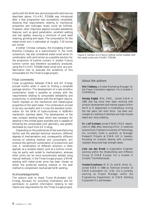partly with the SAW two-wire process with solid wire as described above. FILARC PZ6166 was introduced after a test programme was successfully completed, showing that requirements relating to mechanical properties and hydrogen levels could be fulfilled. However, other important aspects included weldability features, such as good penetration, excellent wetting and low spatter, ensuring a minimum of post weld cleaning, grinding and repair. The consumption for the metal-cored wire is estimated at roughly 7-10 tonnes per runner.

Another Chinese company, the Dongfang Electric Machine Company as a subcontractor in the Voith consortium, has also considered metal-cored wires (in combination with solid wires) as a possible solution for the production of turbine runners. A smaller Francis turbine runner was therefore successfully produced, using the FILARC PZ6166 metal-cored wire, as a prefabrication test to evaluate the suitability of this consumable for the Three Gorges project.

#### Final comments

Close co-operation between ESAB and GE Energy proved fruitful when it came to finding a complete package solution. The development of a new wire/flux combination made it possible to comply with the requirements relating to consumable weldability and productivity, in combination with the stringent requirements imposed on the mechanical and metallurgical properties of the weld metal. This combination proved to be very successful and it is now the standard combination for the SAW of hydro-turbines in 410NiMo martensitic stainless steels. The development of the new, compact welding head, which was necessary for welding in the limited space available and is capable of following the complicated joint geometry, was greatly facilitated by input from GE Energy.

Depending on the preferences of the manufacturing facility and the selected technical solutions, different degrees of mechanisation and, consequently, different choices of welding method and consumable, will produce the optimum combination of productivity and cost. A combination of different solutions is often applied, as a complex object, such as a turbine runner, may be partly well suited to mechanisation, whereas other joints can be more economically welded using manual methods. In the Three Gorges project, GMAW welding with metal-cored wires has been chosen as either the preferred welding method or the best method to complement mechanised SAW welding.

#### Acknowledgements

The authors wish to thank Trond Multubakk (GE Energy, Norway) for providing illustrations and for permission to publish information relating to test results and requirements for the Three Gorges project.



*Figure 6. Section of a Francis turbine runner welded with the metal cored wire FILARC PZ6166.*

# *About the authors*

**Nils Thalberg** is Global Marketing Manager for the Power Generation segment. He is located in Gothenburg.

**Solveig Rigdal**, MSc, EWE, joined ESAB in 1982 and has since then been working with product development and market support within the R & D department in Gothenburg. During the last years, her main focus has been submerged arc welding of stainless and high alloyed steels and strip cladding.

**Dr. Leif Karlsson** joined ESAB's R&D department in 1986, after receiving a Ph.D. in materials science from Chalmers University of Technology. He currently holds a position as Manager Research Projects at ESAB AB in Sweden, focussing on projects dealing with corrosion resistant alloys and high strength steels.

**John van den Broek** is Application Engineer working within the Shipbuilding and Offshore Group of ESAB Europe. He is located in Utrecht, The Netherlands.

**Herbert Kaufmann**, M. El. Sc. and M. Mech. Sc., joined ESAB in 1988 as Technical Director at ESAB Automation Inc., USA. He is currently working as Project Manager within the Engineering Department of ESAB Welding Equipment in Laxå Sweden.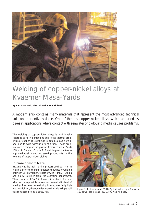<span id="page-8-0"></span>

# Welding of copper-nickel alloys at Kvaerner Masa-Yards

### **By Kari Lahti and Juha Lukkari, ESAB Finland**

A modern ship contains many materials that represent the most advanced technical solutions currently available. One of them is copper-nickel alloys, which are used as pipes in applications where contact with seawater or biofouling media causes problems.

The welding of copper-nickel alloys is traditionally regarded as fairly demanding due to the thermal properties of copper. It is difficult to obtain a stable weldpool and to weld without lack of fusion. Those problems are a thing of the past at Kvaerner Masa Yards (KMY) in Finland. Orbital TIG welding was the key to improved quality and increased productivity in the welding of copper-nickel piping.

#### To braze or not to braze

Brazing was the main joining process used at KMY in Helsinki prior to the unprejudiced thoughts of welding engineer Eero Nykänen, together with Hannu Mutkala and Kalevi Selvinen from the outfitting department. They contacted ESAB in Finland in order to find out whether it was possible to weld copper-nickel instead of brazing. The defect rate during brazing was fairly high and, in addition, the open flame used inside a ship's hull was considered to be a safety risk.

![](_page_8_Picture_7.jpeg)

*Figure 1. Test welding at ESAB Oy, Finland, using a Prowelder 160 power source and PRB 33-90 welding head.*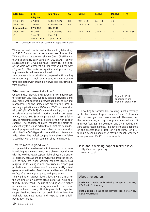| <b>Alloy type</b>  | <b>UNS</b><br>Alloy No. | <b>ISO</b> name     | Cu  | Ni (%)        | Fe (%)        | $Mn$ (%),<br>max       | Ti $(%)$                 |
|--------------------|-------------------------|---------------------|-----|---------------|---------------|------------------------|--------------------------|
| 90Cu-10Ni          | C70600                  | CuNi10Fe1Mn         | Bal | $9.0 - 11.0$  | $1.0 - 1.8$   | 1.0                    | $\overline{\phantom{a}}$ |
| 70Cu-30Ni          | C71500                  | CuNi30Fe1Mn         | Bal | $29.0 - 33.0$ | $0.4 - 0.7$   | 1.0                    | $\qquad \qquad =$        |
| <b>Consumables</b> | <b>AWS A5.7</b>         | <b>DIN 1733</b>     |     |               |               |                        |                          |
| 70Cu-30Ni          | <b>ERCuNi</b>           | SG-CuNi30Fe         | Bal | $29.0 - 32.0$ | $0.40 - 0.75$ | 1.0                    | $0.20 - 0.30$            |
| $\mathbb{Z}^n$ .   | Esab OK                 | Esab OK             |     |               |               |                        |                          |
|                    | <b>Autrod 19.49</b>     | <b>Tigrod 19.49</b> | -"- | L"L           | L"L           | $\mathbf{H}$ .<br>$ -$ | 25                       |
|                    |                         |                     |     |               |               |                        |                          |

*Table 1. Compositions of most common copper-nickel alloys.*

The second weld performed at the welding laboratory at ESAB Finland was already a success. The orbital TIG welding of copper-nickel alloy CuNi10Fe1Mn was found to be fairly easy using a PROWELDER power source and a PRB welding head (Figure 1). The finish of the weld was excellent full penetration all the way (Figure 2). The basis for quality and productivity improvements had been established.

Improvements in productivity compared with brazing were very high. It took only around one-tenth of the time compared with brazing. This was also confirmed in yard practice.

#### What are copper-nickel alloys?

Copper-nickel alloys known as Cunifer were developed for seawater use. They typically contain between 5 and 30% nickel with specific alloys with additions of iron and manganese. The two grades that are typically used in welding applications are 90-10 and 70-30 copper-nickel alloys (Cu/Ni) (Table 1). Copper-nickel alloys, or cupronickels, can be welded with most arc welding processes: MMA, MIG, TIG. Surprisingly enough, it also is fairly easy to resistance spotweld, in spite of the high copper content. The addition of nickel reduces the electrical conductivity to such an extent that a joint can be made. An all-purpose welding consumable for copper-nickel alloys is of the 70-30 type with the addition of titanium as a deoxidiser. The typical composition is shown in Table 1, together with the most common alloy nominations.

#### How to make a good weld

If copper-nickels are treated with the same kind of care in welding as stainless steels, no problems should arise with the weldments. As copper-nickel alloys are prone to oxidisation, precautions to prevent this must be taken, just as they are when welding stainless steels. Gas purging inside piping is also necessary as proper gas protection on the surface side. The use of Ar-H<sub>2</sub> mixed gases reduces the risk of oxidisation and leaves a brighter surface after welding compared with pure argon.

The welding of copper-nickel alloys is very similar to the welding of low-alloyed steels as far as weld pool fluidity is concerned. The use of welding wire is highly recommended because autogenous welds are more likely to have porosity. If it is possible to organise, copper backing bars can be used. This widens the available parameter range and helps to ensure fullpenetration welds.

![](_page_9_Picture_9.jpeg)

![](_page_9_Picture_10.jpeg)

*Figure 2. Weld appearance and macro of orbital weld.*

Bevelling for orbital TIG welding is not necessary up to thicknesses of approximately 3 mm. Butt-joints with a zero gap are recommended. However, for thicker materials, a U-groove preparation with a 1.5 mm root face, 1.5 mm extension and 2 mm radius and zero gap is recommended. The bevelling angle depends on the process that is used for filling runs. For TIG filling, a bevelling angle of 2° may be enough, while for other processes 25-30° is more suitable.

Links about welding copper-nickel alloys:

- http://marine.copper.org
- www.twi.co.uk

### *About the authors*

**Kari Lahti** is product and marketing manager MIG/MAG, ESAB AB, Gothenburg.

**Juha Lukkari** is head of the technical customer service, ESAB Oy, Helsinki.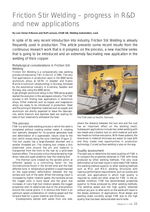# <span id="page-10-0"></span>Friction Stir Welding – progress in R&D and new applications

#### **By Lars Göran Eriksson and Rolf Larsson, ESAB AB, Welding Automation, Laxå**

In spite of its very recent introduction into industry, Friction Stir Welding is already frequently used in production. This article presents some recent results from the continuous research work that is in progress on the process, a new machine series that is going to be introduced and an extremely fascinating new application in the welding of thick copper.

# Metallurgical considerations in Friction Stir **Welding**

Friction Stir Welding is a comparatively new welding process introduced by TWI in the UK in 1991. The very first applications in production were in the 6000 series aluminium alloys at SAPA in Sweden and Hydro Marine Aluminium (shipbuilding) in Norway, followed by the automotive industry in Australia, Sweden and Norway, also using the 6000 series.

High-strength aluminium alloys in the 7000 series grades started the evolution in the aerospace industry. The FSW process is still finding new applications in aluminium alloys. Other materials such as copper and magnesium alloys are ready to be introduced in production. Steel and the joining of dissimilar materials such as copper and aluminium are shortly expected to leave the laboratories, while titanium and stainless steel are waiting for tests of tool materials to withstand the heat.

#### The process

FSW is a solid state welding process in which the weld is completed without creating molten metal. A rotating tool specially designed for its purpose generates heat and deformation of a superplastic nature close to the tool, which moves along the joint interface (Figure 1). The tool usually has a large-diameter shoulder and a smaller threaded pin. The rotating tool creates a thin plasticised zone around the pin and material is transported from the front to the rear by a solid-state keyhole effect. The process is thus characterised by high strain rates and super-plasticity near the rotating tool.

The thermal cycle created by the spindle action at different speeds is a controlling factor for the microstructures found in the stirred zone and the heat affected zone. A temperature gradient is superimposed on the super-plastic deformation between the top surface and root of the weld. When the energy input is increased by higher rotation speed, the hardness across the nugget zone is more equal and the grain size increases. At very high tool rotation speeds, the nugget properties start to deteriorate due to the precipitation around the coarse grains. It is obvious that there is an optimum speed constellation of rotating speed and the forward feed for a given material and thickness.

Developments started with welds from one side,

![](_page_10_Picture_10.jpeg)

*The FSW plant at DanStir, Denmark.*

where the distance between the tool end and the root has an important effect on the welding result. Subsequent applications include two-sided welding with two heads and a bobbin tool on solid material and with two heads on hollow extrusions. With these systems, the tolerances in material thickness are easier to cope with and they create new opportunities in production technology. Curved surface welding is also on the way.

#### Quality assessment

The best way to determine the weld qualities of FSW is to compare the properties obtained in FSW with those produced by other welding methods. The very local deformation at low heat inputs in solid state FSW makes this welding method superior to other welding methods such as MIG and MAG welding. Structures with rigorous performance requirements, such as rockets and aircraft, and applications in which high quality is required by codes are other areas for FSW. In the aswelded condition, FSW has demonstrated properties superior to those produced by other welding methods. The welding speed and the high quality obtained without any pre- or after-work on the welds will result in the steady extension of applications. Most design and welding codes currently accept FSW due to the high quality that has been demonstrated world wide.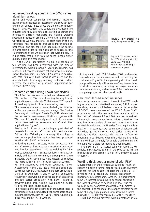### Increased welding speed in the 6000 series aluminium alloys

ESAB and other companies and research institutes have done a great deal of research on the 6000 series of aluminium alloys. These alloys are the most commonly used in railway wagons, ship panels and the automotive industry and they are now also starting to attract the interest of aircraft manufacturers. Normal welding speeds in production are 0.8-2.0 m/min. for 5 mm thick workpieces. As 6082 material is often used in the T6 condition (heat treated to produce higher mechanical properties), one task for R&D is to reduce the decline in hardness in order to retain as much as possible of the T6 treatment effect. One solution is to weld quickly. It is not often that a high welding speed means higher quality, but in this case it does.

In the ESAB laboratories in Laxå, a great deal of test welding has been performed with the aim of increasing the welding speed. A year ago, 3 m/min. was reached, but recent tests with refined procedures have shown that 6 m/min. in 5 mm 6082 material is possible and that this very high speed is definitely not the ultimate limit. These very promising results will further increase the number of profitable applications for Friction Stir Welding.

#### Research centres using ESAB SuperStir®

- The FSW process was invented and developed by TWI in the UK. TWI is still leading the way to new applications and materials. With its new FSW – plant, it is well equipped for future interesting tasks.
- The aerospace industry demonstrated great interest in the new process at a very early stage. The Boeing Company at Huntington Beach, Ca, USA developed the process for aerospace applications, together with TWI, and it is continuously working in its laboratories on new tasks for aerospace, aircraft and other applications (Figure 2).
- Boeing in St. Louis is conducting a great deal of research for the aircraft industry to produce new Friction Stir Welded parts. Among other things, a new hollow profile floor section has been produced together with SAPA in Sweden.
- Following Boeing's success, other aerospace and aircraft research institutes have invested in advanced machines for research work and test welding. EADS in France, together with Institute Soudure, Alenia Spacio in Italy and EADS in Germany, are examples of these institutes. Other companies have chosen to conduct their tests at ESAB, TWI or other research centres.
- For the automotive and other segments, Tower Automotive in the USA has a well-equipped FSW centre for research, test welding and test production.
- DanStir in Denmark is one of several companies focusing on test welding, the production of test series and low series production with FSW. DanStir, however, has a large, flexible FSW plant well suited to different tasks (photo page 11).
- The research and development of production data is continuously being conducted by the producers of aluminium structures, such as Hydro Marine Aluminium in Norway and SAPA in Sweden.

![](_page_11_Picture_11.jpeg)

![](_page_11_Picture_12.jpeg)

*Figure 1. FSW process in a butt joint against backing bar.*

*Figure 2. Take-over test of the FSW plant supplied by ESAB AB, Welding Automation to Boeing's space rocket plant.*

• At its plant in Laxå, ESAB has two FSW machines for research work, demonstrations and test welding for customers (Figure 3). Its engineering division is well equipped to comply with customers' requirements for production solutions, including the design, manufacture, commissioning and service of FSW machines and complete production plants world wide.

#### New modularised machine series

In order for manufacturers to invest in the FSW welding technique in a cost-effective manner, ESAB is now launching a new modularised machine series called LEGIO™, new members of the ESAB Super Stir™ programme. With the new machines, material with a thickness of between 1.4 and 100 mm can be welded. The spindle power ranges from 1.5 kW to 100 kW. The machine series consists of two main types, the S series for straight welds and the U series for straight welds in the X or Y directions, as well as in optional patterns such as circles, squares and so on. Each series has two main designs, one floor mounted with vertical surfaces for mounting large fixtures, circumferential welding units or a lower head assembly for double-sided welding and one type with a table for mounting small fixtures.

The FSW 3 UT (Universal type with table, 11 kW spindle, max. capacity 10 mm in the 6000 series) will be introduced at the Essen Alu Fair in Germany in 2002 (Figure 4).

Welding thick copper material with FSW Developments in the Friction Stir Welding (FSW) of copper will take a further step forward, as the Swedish Nuclear Fuel and Waste Management Co. (SKB) is investing in a full-scale FSW plant at its canister laboratory in Oskarshamn, Sweden. The background to SKB's interest in welding thick copper sections is the Swedish decision to deposit high-level nuclear waste in copper canisters at a depth of 500 metres in the bedrock. The sealing of the copper canisters needs to be of a very high quality, as it must remain intact during the 100,000-year service life of the repository.

SKB has studied different welding methods in co-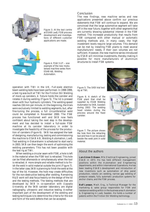![](_page_12_Picture_0.jpeg)

*Figure 3. At the test centre at ESAB Laxå, FSW process development and investigations of different customer applications are made.*

![](_page_12_Picture_2.jpeg)

*Figure 4. FSW 3 UT – one example of the new modularised machine series from ESAB AB, Welding Automation.*

operation with TWI in the UK. Full-scale electron beam welding tests have been performed. In 1998-1999, a test rig was built at TWI for the Friction Stir Welding of mock-up canisters. A fixture holds the canister and rotates it during welding (Figure 5). The lid is pressed down with four hydraulic cylinders. The welding speed reaches 150 mm per minute. At the beginning, the trials were exclusively limited to welding segments, but, after fine-tuning the process, a full circumferential weld could be completed in November 2000. The FSW process has functioned well and SKB now feels confident about taking the next step in the development and has decided to install a full-scale FSW machine at its canister laboratory in order to investigate the feasibility of the process for the production of canisters (Figure 6). SKB has assigned the task of designing, manufacturing, testing and commissioning the machine to ESAB AB, Welding Automation, Laxå. Test welding in Oskarshamn is scheduled to start early in 2003. SKB can then begin the work of optimising the welding parameters. This has not been possible with the test rig at TWI.

When welding a circular seam with FSW, a hole is left in the material when the FSW tool is retracted. This hole can be filled afterwards or simultaneously when the tool is retracted. A more simple and reliable method is to finish the weld in solid material outside the joint (Figure 7). In the latter case, SKB is planning to finish the weld at the top of the lid. However, the hole may create difficulties for the non-destructive testing after welding. Remaining R&D work will also focus heavily on the design of the lid and the testing methods. The testing methods that are developed by SKB in co-operation with Uppsala University at the SKB canister laboratory are digital radiography, ultrasonic and inductive testing. Another important part of the development of the welding and testing techniques is to determine the criteria for the size and form of the weld defects that can be accepted.

#### Conclusion

The new findings, new machine series and new applications presented above confirm our previous statements that FSW will continue to expand. We are convinced that the large automotive segment will take off in the near future, together with other segments that are currently showing substantial interest in the FSW method. The increased productivity that results from FSW compared with other manual or automatic welding methods and, in many cases, the high investment levels require large volumes. This demand can be met by installing FSW plants to meet several manufacturers' needs, if their own volumes are not sufficient. However, the new machine series introduced by ESAB will minimise investments, thereby making it possible for more manufacturers of aluminium structures to install FSW systems.

![](_page_12_Picture_8.jpeg)

#### *Figure 5. The SKB trial test rig at TWI.*

*Figure 6. A sketch of the FSW plant that shall be supplied by ESAB Welding Automation to SKB, Sweden during 2002. The welding head rotates during the process around the fixed canister.*

*Figure 7. The picture shows the hole from the retracting tool and how it can be placed beside the weld joint in solid material.*

![](_page_12_Picture_12.jpeg)

# *About the authors*

**Lars Göran Eriksson**, MSc Electrical Engineering, joined ESAB in 1973. He has held different management positions within the Automation and Engineering departments, and within International Operations. He has been leading ESAB´s development and introduction of new inventions such as automation of ship panel production, robotic arc welding, narrow gap welding of pressure vessels, fully automatic production systems for anchor chains, and the FSW process.

**Rolf Larsson**, Mech. Eng., is Technical Manager for the marketing & sales group responsible for FSW and resistance welding within in the business area Automation & Engineering in Laxå, Sweden. He holds a number of patents within the Friction Stir Welding technology.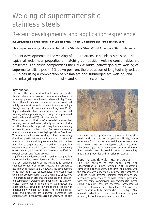# <span id="page-13-0"></span>Welding of supermartensitic stainless steels

# Recent developments and application experience

# **By: Leif Karlsson, Solveig Rigdal, John van den Broek, Michael Goldschmitz and Rune Pedersen, ESAB**

This paper was originally presented at the Stainless Steel World America 2002 Conference.

Recent developments in the welding of supermartensitic stainless steels and the typical all-weld metal properties of matching-composition welding consumables are presented. The article compromises the GMAW orbital narrow gap girth welding of supermartensitic pipes in 5G-down position, the production of longitudinally welded 20" pipes using a combination of plasma arc and submerged arc welding, and dissimilar joining of supermartensitic and superduplex pipes.

# Introduction

The recently introduced weldable supermartensitic stainless steels have become an economical alternative for many applications in the oil and gas industry. These steels offer sufficient corrosion resistance for sweet and mildly sour environments, in combination with high strength and good low-temperature toughness (1, 2). Supermartensitic steels are also well suited to field welding where preheating and long term post-weld heat treatment (PWHT) is impracticable.

The successful application of a material requires that welding can be performed reliably and economically and that the welds comply with requirements relating to strength, among other things. For example, reeling is a common operation when laying offshore flow lines. This operation involves bending pipes, introducing significant plastic deformation. Local straining at welds may occur when welding consumables with undermatching strength are used. Matching composition supermartensitic welding consumables, guaranteeing overmatching yield strength, are therefore specified for several current and future projects.

Significant alloy development in matching composition consumables has taken place over the past few years and our understanding of the relationship between chemical composition, microstructure and properties has improved rapidly (3-8). However, the development of further optimised consumables and economical welding procedures is still a challenging area of activity. The present paper presents the application of matching composition welding consumables to the GMAW orbital narrow gap girth welding of supermartensitic pipes in the 5G-down position and to the production of longitudinally welded 20" pipes. The welding procedures and properties are discussed, illustrating that supermartensitic consumables can be used with realistic

![](_page_13_Picture_9.jpeg)

fabrication welding procedures to produce high quality welds with satisfactory properties. Finally, some experience from the dissimilar welding of supermartensitic stainless steels to superduplex steels is presented. The advantages and disadvantages of using different filler materials are discussed in terms of weldability, mechanical properties and corrosion resistance.

#### Supermartensitic weld metal properties

The first sections of this paper deal with supermartensitic pipes welded with matchingcomposition consumables. The level of dilution with the parent material inevitably influences the properties of these welds. Typical chemical compositions and mechanical properties of all-weld metals, produced with the same commercial supermartensitic metalcored wires (MCW), are therefore presented as reference information in Tables 1 and 2 below. The wires deposit a fully martensitic 13%Cr-type, Moalloyed, extra-low carbon weld metal designed primarily for welding supermartensitic steels.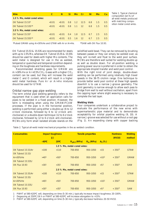| <b>Wire</b>                  | C          | N           | 'Si           | Mn.            | – Cr             | Ni  | Mo            | Cu. |
|------------------------------|------------|-------------|---------------|----------------|------------------|-----|---------------|-----|
| 1.5 % Mo, metal cored wires: |            |             |               |                |                  |     |               |     |
| OK Tubrod $15.53*$           | $\le 0.01$ | $\le 0.01$  | $0.8^{\circ}$ |                | $1.2$ $12.5$ 6.8 |     | 1.5           | 0.5 |
| OK Tubrod $15.53S**$         | $\le 0.01$ | $\le 0.01$  | 0.8           | $1.1 \quad 12$ |                  | 6.8 | 1.5           | 0.5 |
| 2.5 % Mo, metal cored wires: |            |             |               |                |                  |     |               |     |
| OK Tubrod $15.55^*$          | $\le 0.01$ | $\le 0.01$  | 0.4           | 1.8            | $12.5\quad 6.7$  |     | 2.5           | 0.5 |
| $OK$ Tubrod $15.55S**$       | $\le 0.01$ | $\leq$ 0.01 | $0.5^{\circ}$ | 1.6            | 12               | 6.7 | $2.5^{\circ}$ | 0.5 |

*Table 1. Typical chemical composition (wt.%) of all-weld metals produced with matching composition metal cored wires.*

\*Pulsed GMAW using Ar+30%He and GTAW with Ar or Ar+He. \*\*SAW with OK Flux 10.93.

OK Tubrod 15.53 & 15.53S are recommended for steels with up to 1.5%Mo, whereas OK Tubrod 15.55 & 15.55S should be used for steels with higher Mo contents. The weld metal is designed for use in the as welded, tempered or quenched and tempered condition depending on the toughness and hardness requirements.

Recommended shielding gases for GMAW are Ar+30%He or Ar+0.5%CO<sub>2</sub>. Gases with a higher  $CO<sub>2</sub>$ content can be used, but they will increase the weld metal C and O content, which will result in a higher weld metal hardness. Pure Ar or Ar+He mixtures should be used for GTAW.

#### Orbital narrow gap pipe welding

The term orbital pipe welding generally refers to the equipment that is used when an application calls for pipes to be welded in a fixed position. However, the term is misleading when using the GMAW/FCAW processes. If the pipe is in the horizontal position, welding is performed using either a double-up (6 to 12 o'clock clockwise, followed by 6 to 12 o'clock anticlockwise) or a double-down technique (12 to 6 o'clock clockwise, followed by 12 to 6 o'clock anti-clockwise). MCWs only form small isolated silicate islands on the solidified weld bead. They can be removed by brushing between passes or they can simply be welded over, as they will re-melt and float to the weld pool surface. MCWs are therefore well suited for welding double up as well as double down. For all-position welding, a pulsing power source is preferred in order to obtain the appropriate droplet transfer and weld pool control.

With the right kind of joint design, double-down welding can be performed using relatively high travel speeds in the 38-75 cm/min range. One technique to provide better weld pool control at these high speeds downhill is to use a narrow J-groove geometry. The joint geometry is narrow enough to allow each pass to bridge from wall to wall without oscillation, apart from the capping layer where slight weaving is necessary to complete the last layer.

#### **Welding trials**

Four companies undertook a collaborative project to evaluate the performance of the new wires with supermartensitic pipe material and to demonstrate acceptability for orbital pipeline welding (9, 10). A narrow J-groove was selected for use without a root gap (Fig. 1). An expanding clamp with copper backing

*Table 2. Typical all-weld metal mechanical properties in the as welded condition.*

| <b>Consumables</b>      | Impact toughness<br>$\left(\mathsf{U}\right)$ | <b>Tensile properties</b> |                              |             |           | <b>Hardness</b><br>(HV10) | <b>Welding</b><br>method |
|-------------------------|-----------------------------------------------|---------------------------|------------------------------|-------------|-----------|---------------------------|--------------------------|
|                         | $-40^{\circ}$ C                               | $20^{\circ}$ C            | $R_{D0.2}$ (MPa)             | $R_m$ (MPa) | $A_5$ (%) |                           |                          |
|                         |                                               |                           | 1.5 % Mo, metal-cored wires: |             |           |                           |                          |
| OK Tubrod 15.53/Ar      | >100                                          | >110                      | 700-850                      | 950-1050    | $>15$     | $< 350^3$                 | <b>GTAW</b>              |
| <b>OK Tubrod 15.53/</b> |                                               |                           |                              |             |           |                           |                          |
| $Ar+30%He$              | >401                                          | >501                      | 700-850                      | 950-1050    | $>10^{2}$ | $< 350^3$                 | <b>GMAW</b>              |
| OK Tubrod 15.53S/       |                                               |                           |                              |             |           |                           |                          |
| OK Flux 10.93           | $>30^{1}$                                     | >351                      | 700-850                      | 950-1050    | >52       | $< 350^3$                 | <b>SAW</b>               |
|                         |                                               |                           | 2.5 % Mo, metal-cored wires: |             |           |                           |                          |
| OK Tubrod 15.55/Ar      | >100                                          | >110                      | 700-850                      | 950-1050    | $>15$     | $< 350^3$                 | <b>GTAW</b>              |
| OK Tubrod 15.55/        |                                               |                           |                              |             |           |                           |                          |
| $Ar+30%He$              | >401                                          | >501                      | 700-850                      | 950-1050    | $>10^{2}$ | $< 350^3$                 | <b>GMAW</b>              |
| OK Tubrod 15.53S/       |                                               |                           |                              |             |           |                           |                          |
| <b>OK Flux 10.93</b>    | $>30^{1}$                                     | >351                      | 700-850                      | 950-1050    | >52       | $<$ 350 <sup>3</sup>      | <b>SAW</b>               |
|                         |                                               |                           |                              |             |           |                           |                          |

1 PWHT at 580-620ºC will, depending on time (5-30 min.), typically increase impact toughness 20-100%.

2 Degassing at 250ºC/16 h or PWHT at 580-620ºC will increase elongation to >15%.

3 PWHT at 580-620ºC will, depending on time (5-30 min.), typically decrease hardness 20-50 HV10.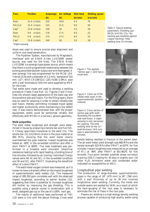| <b>Pass</b>  | <b>Position</b>  | <b>Amperage</b> | <b>Arc Voltage</b> | <b>Wire feed</b> | <b>Welding speed</b> |
|--------------|------------------|-----------------|--------------------|------------------|----------------------|
|              |                  | (A)             | (V)                | (m/min)          | (cm/min)             |
| Root         | $12-4$ o'clock   | 210             | 18.8               | 9.3              | 70                   |
| Fill $2,3,4$ | $12-4$ o'clock   | 215             | 21.5               | 9.0              | 50                   |
| $Cap*$       | $12-6$ o'clock   | 140             | 18                 | 3.0              | 18                   |
| Root         | o'clock<br>$4-6$ | 178             | 17.5               | 6.0              | 22                   |
| Fill 2,3     | o'clock<br>$4-6$ | 175             | 17.5               | 6.0              | 22                   |
| $Cap^*$      | 12-6 o'clock     | 140             | 18                 | 3.0              | 18                   |

\*Slight weaving

shoes was used to ensure precise pipe alignment and uniform root bead penetration.

The Pipeliner System, manufactured by Magnatech, interfaced with an ESAB Aristo LUD320W power source, was used for the trials. The ESAB Aristo LUD320W is a synergic-type power source, which means that there is a pre-programmed relationship between the pulsing parameters/power output and wire feed speed. A new synergic line was programmed for the MCW (OK Tubrod 15.55 with a diameter of 1.2 mm). Samples of 322 mm (12") NKK-CR13WS2.5 (13Cr-6.5Ni-2.5Mo) pipe with a wall thickness of 14.6 mm were supplied by NKK for the trials.

Test welds were made and used to develop a welding procedure (Table 3 and Ref. 11). Figures 2 and 3 illustrate the smooth bead appearance of the weld cap and the excellent side wall fusion. For the filling layers, there was no need for weaving in order to obtain reliable side wall fusion, thereby permitting increased travel speed and higher productivity while maintaining a low defect rate. It was clearly demonstrated that, with the proper equipment, welds could be performed reliably and effectively with MCWs in a narrow J-groove geometry.

#### **Weld properties**

The weld metal toughness and strength were determined in house by preparing a tensile bar and five ISO-V Charpy specimens transverse to the weld (11). The tensile bar (21.1x12.9mm) broke in the pipe material at 900 MPa, showing that the weld metal clearly overmatched the pipe material. Impact toughness was tested at –40ºC in the as-welded condition and after a short PWHT at 600ºC. The heat treatment was performed in a Gleeble weld simulator (electrical resistance heating) with rapid heating, a holding time of five minutes, followed by air cooling. Individual Charpy values were 44, 41 and 42 J in the as-welded condition and 50 and 52 J after PWHT, illustrating the beneficial effect of a short PWHT.

The weld metal oxygen content was measured, as it is known to have a dramatic effect on the impact toughness of supermartensitic weld metals (12). The measured range of 285-350 ppm correlates well with the observed impact toughness, according to earlier studies (12), suggesting that there is potential to increase toughness still further by improving the gas shielding. This is possible using a special nozzle in combination with a small, designed gas cup or the use of a 100% inert gas.

The results of additional tests performed at TWI (13) were in line with the above findings. Cross weld

*Figure 1. The applied 'narrow gap' J-joint has a small land.*

*Figure 2. Close up of the orbital weld seam in the supermartensitic pipeline material.* 

*Figure 3. Cross section of narrow gap girth weld illustrating the excellent side wall fusion. A slight weaving is only necessary for capping. The total welding time for the 12 " (wall thickness 14.6 mm) pipe is approximately 14 minutes.*

*Table 3. Typical welding parameters: Shielding gas 99.5% Ar/0.5% CO2 ; No backing gas (welding against copper backing). Total welding time 14 minutes.*

![](_page_15_Picture_13.jpeg)

![](_page_15_Picture_14.jpeg)

![](_page_15_Picture_15.jpeg)

tensile testing resulted in fracture in the parent steel. The all-weld metal yield strength was 680 MPa and the tensile strength 923 MPa after PWHT at 637ºC for five minutes. Impact toughness was measured as an average of 47 J at -46ºC after PWHT at 651-661ºC for five minutes. Four-point bended sulphide stress corrosion cracking (SSCC) testing for 30 days in slightly sour (10 mbar  $H_2S$ ) formation water and condensed water indicated no susceptibility to SSCC.

#### Longitudinal pipe welding

The production of large-diameter supermartensitic pipes in the range of 18" (475 mm) to 30" (760 mm) with a wall thickness of up to 30 mm involves longitudinal seam welding. Currently, the inside and outside seams are welded by SAW, as a result of which the back-gouging of the root pass is necessary to eliminate the risk of flaws in the root pass.

Plasma arc welding is a high energy density welding process capable of producing high quality welds using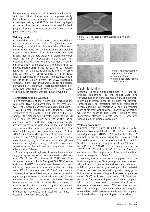the keyhole technique and it is therefore suitable for root runs on thick pipe sections. In the present study, the combination of a plasma arc root pass welded with an inert gas backing and SAW for the fill and cap layers was tested. The aim was to avoid the need for back gouging, thereby increasing productivity and consequently reducing costs.

#### **Welding details**

A 20 mm thick plate of 12Cr 4.5Ni 1.5Mo material was used to produce a length of a 20" (508 mm outer diameter) pipe at EEW (Erndtebrücker Eisenwerk, GmbH & Co. KG). Machining, forming and welding presented no problems, although magnetism was more evident than in the butt welding of plates. However, when the correct precautions were taken, this presented no difficulties. Welding was done in an Xjoint preparation using plasma arc welding with  $\varnothing$  1.2 mm OK Tubrod 15.53 for the root pass. Fill passes were deposited from the outside and inside with SAW using a Ø 2.4 mm OK Tubrod 15.53S/ OK Flux 10.93 wire/flux combination (Figure 4). The heat input was in the range of 1.0-1.7 kJ/mm for SAW, whereas a somewhat higher heat input was used for the plasma arc welding. A maximum interpass temperature of 150ºC was used and a 30 minute PWHT at 630ºC, followed by air cooling, was applied after welding.

#### **Microstructure and properties**

The microstructure of the welded joint, including the weld metal, HAZ and parent material, consisted after PWHT of tempered martensite as illustrated in Figure 5.

Weld metal hardness and toughness were comparable to those of the HAZ (Tables 4 and 5). For example, the maximum weld metal hardness was 278 HV10 and the maximum hardness at the fusion boundary was 280 HV10. The Charpy-V impact toughness was lowest in the weld metal in the high-dilution region at mid-thickness, averaging 62 J at –40ºC. The weld metal toughness was somewhat higher (70 J at –40ºC) when locating the specimen at the outer surface, similar to the 77-79 J measured in the HAZ in the fusion boundary region. The weld metal strength was highest in the high-dilution region at mid-thickness and somewhat lower, but still overmatching, closer to the outer surface (Table 6).

The strength and toughness of the weld metal are in very good agreement with previous all-weld metal tests after PWHT for 30 minutes at 620ºC (8). The recommendations in Table 2 suggest 580-620ºC as the optimum PWHT temperatures based on tests indicating the formation of new martensite on cooling from PWHT temperatures of 640ºC and above. However, the present test suggests that a somewhat higher temperature could be beneficial for the 1.5%Mo material in order to maximise toughness. Precise temperature control is recommended, however, as previous studies have shown a rapid drop in yield strength, toughness and elongation once too much untempered martensite and retained austenite is present in the microstructure (8).

![](_page_16_Picture_7.jpeg)

*Figure 4. Cross section of longitudinal pipe weld (wall thickness 20 mm).*

![](_page_16_Picture_9.jpeg)

![](_page_16_Picture_11.jpeg)

#### Dissimilar joining

Dissimilar joints are not uncommon in oil and gas process equipment, as the temperature and corrosiveness of the process media vary and different materials therefore need to be used for different components. One interesting dissimilar combination involves joining supermartensitic and superduplex pipes of different wall thickness. The following section will briefly describe two recent examples from Norwegian offshore projects where Ni-base and superduplex consumables were used.

#### **Welding procedures**

Supermartensitic pipes (K-X80-CR13WS2, outer diameter 324 mm/wall thickness 16 mm) were joined to superduplex pipes (UNS 32760, outer diameter 335 mm/wall thickness 22 mm) using the GTAW method. The welding was done at Arctos Industrier AS in Sandefjord (Norway), using either Alloy 59 type Ni based (SG-Ni Cr23Mo16, Ø 2 mm) or superduplex (EN 12072 G/W 25 9 4 N L, Ø 2 mm an 2.4 mm) consumables. The compositions of the parent and filler materials are given in Table 7.

Welding was performed with the pipes fixed in the horizontal position. A 60º V-joint preparation was used with a 2 mm root gap for the Ni-base consumables and a 3-4 mm gap when using superduplex filler material. Pure Ar was used as the shielding and purging gas in both cases. A somewhat higher interpass temperature (max  $150^{\circ}$ C) and heat input  $(0.9-1.2 \text{ kJ/mm})$  was permitted for the superduplex consumables compared with the Ni-base welds, where the interpass temperature was kept below 100ºC and the heat was 0.9-1.1 kJ/mm. Approximately 45 beads were required to complete the Ni-base consumable weld as compared to 35 beads when using superduplex consumables.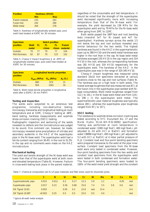| <b>Position</b>    | Hardness (HV10) |     |  |
|--------------------|-----------------|-----|--|
|                    | Min             | Max |  |
| Parent material    | 233             | 263 |  |
| <b>Fusion line</b> | 242             | 280 |  |
| Weld metal         | 264             | 278 |  |

*Table 4. Hardness of longitudinally welded pipe, post weld heat treated at 630ºC for 30 minutes.*

| <b>Specimen</b> |             |     | <b>Notch position</b> |     |               |
|-----------------|-------------|-----|-----------------------|-----|---------------|
| position        | <b>Weld</b> | FL. | FL.                   | ы.  | Parent        |
|                 | metal       |     | $+2mm$                |     | +5mm material |
| Outside         | 70.         | -77 | 79                    | 77  | 104           |
| Mid thickness   | 62          | 87  | 70.                   | 123 | 102           |

*Table 5. Charpy-V impact toughness (J at -40ºC) of longitudinally welded pipe, post weld heat treated at 630ºC for 30 minutes.*

| <b>Specimen</b><br>position | Longitudinal tensile properties |             |           |  |  |  |  |  |
|-----------------------------|---------------------------------|-------------|-----------|--|--|--|--|--|
|                             | $R_{D0.2}$ (MPa)                | $R_m$ (MPa) | $A_5$ (%) |  |  |  |  |  |
| Outside                     | 880                             | 974         | 15        |  |  |  |  |  |
| Mid thickness               | 954                             | 1001        | 16        |  |  |  |  |  |

*Table 6. Weld metal tensile properties in longitudinal weld after a 630ºC/ 30 min PWHT.*

#### **Testing and inspection**

The welds were subjected to an extensive test programme, including non-destructive testing, microscopy, transverse and longitudinal testing at room temperature and at 115ºC, Charpy-V testing at -46ºC, bend testing, hardness measurements and sulphide stress corrosion cracking (SSCC) testing.

Radiographic inspection and sectioning of the welds revealed no defects and the microstructure was judged to be sound. One comment can, however, be made; microscopy revealed some precipitation of nitrides and secondary austenite in the HAZ of the superduplex pipe in the Ni-base weld. The superduplex weld had a ferrite content ranging from 30.4% in the root to 51.5% in the cap and no comments were made on the HAZ microstructure.

#### *Mechanical testing*

The yield and tensile strength of the Ni-base weld was lower than that of the superduplex weld at both room and elevated temperature (Table 8). However, fracture in cross-weld testing took place in the parent material,

regardless of the consumable and test temperature. It should be noted that the strength of the superduplex weld decreased significantly more with increasing temperature than that of the Ni-base weld. For example, the yield decreased by 136 MPa for the superduplex weld and by 79 MPa for the Ni-base weld when going from 20ºC to 115ºC.

Both welds passed the 180º face and root bending tests (mandrel 5xT for Ni based and 4xT for superduplex). Hardness surveys across the welds 1.5 mm below the top and root surfaces revealed very similar behaviour for the two welds. The highest hardness was found in the HAZ in the supermartensitic pipe (up to 380 HV10) and the weld metal hardness was higher in the root than in the cap. Ni-base weld metal hardness averaged 235 HV10 in the cap region and 314 HV10 in the root, whereas the corresponding hardness was 281 HV10 and 319 HV10 respectively for the superduplex weld. The hardness of the HAZ in the superduplex pipe was in the range of 325-345 HV10.

Charpy-V impact toughness was measured using standard 10x10 mm specimens extracted at various locations close to the cap and root surfaces (Table 9). The hardness was on a high level in both welds. The lowest average toughness that was measured was 87 J at the fusion line in the superduplex pipe welded with Nibase consumables. Weld metal toughness ranged from 112 J to 141 J in the Ni-base weld metal and from 114 J to 196 J in the superduplex weld metal. The supermartensitic pipe material toughness was typically above 200 J, whereas the superduplex pipe toughness ranged from 87 J to 157 J.

#### *SSCC testing*

The resistance to sulphide stress corrosion cracking was tested according to EFC Document No. 17 and the Norsk Hydro 33-1A-NH-R52-00002 specification. Testing was performed at room temperature in condensed water (1000 mg/l NaCl, 400 mg/l NaAc, pH adjusted to 3.6 with HCl or NaOH) and formation water (38890 mg/l NaCl, 400 mg/l NaAc, pH adjusted to 5.2 with HCl or NaOH) at 4 mbar partial pressure of  $H<sub>2</sub>S$ . Constant load and four-point bending specimens were prepared transverse to the weld at the pipe inner surface. Constant load specimens from the Ni-base weld were only tested in condensed water. However, four-point bending specimens from the two welds and constant load specimens from the superduplex weld were tested in both condensed and formation water. The four-point bending specimens were loaded to 100% of the weld metal yield strength and the constant

*Table 7. Chemical composition (wt.%) of pipe materials and filler wires used for dissimilar joints.*

|                       | $\mathcal{C}$ | N.                       | Si   | Mn.  | Cr   | <b>Ni</b> | <b>Mo</b> | W                        | <b>Cu</b>                | Fe.  |
|-----------------------|---------------|--------------------------|------|------|------|-----------|-----------|--------------------------|--------------------------|------|
| Supermartensitic pipe | 0.015         | 0.012                    | 0.2  | 0.17 | 12.3 | 5.9       | 2.2       | $\qquad \qquad =$        | 0.05                     | rest |
| Superduplex pipe      | 0.017         | 0.23                     | 0.36 | 0.68 | 25.6 | 7.4       | 3.5       | 0.6                      | 0.6                      | rest |
| OK Tigrod 19.81       | 0.003         | $\overline{\phantom{0}}$ | 0.05 | 0.2  | 22.8 | rest      | 15.4      | $\overline{\phantom{a}}$ | $\overline{\phantom{a}}$ | 0.4  |
| OK Tigrod 16.88*      | < 0.003       | 0.25                     | 0.5  | 0.5  | 25.0 | 9.5       | 4.0       | $\overline{\phantom{a}}$ | $\overline{\phantom{a}}$ | rest |

\* typical all-weld metal analysis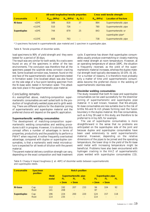|                    |                  | All-weld longitudinal tensile properties |             |             | Cross weld tensile strength |                             |  |
|--------------------|------------------|------------------------------------------|-------------|-------------|-----------------------------|-----------------------------|--|
| Consumable         | т                | $R_{p0.2}$ (MPa)                         | $R_m$ (MPa) | $A_{5}$ (%) | $R_m$ (MPa)                 | <b>Location of fracture</b> |  |
| Ni-base            | $+20^{\circ}$ C  | 589                                      | 818         | 37          | 864                         | Supermartensitic pipe       |  |
|                    | $+115^{\circ}$ C | 510                                      | 726         | $\sim$      | 780                         | Supermartensitic pipe       |  |
| <b>Superduplex</b> | $+20^{\circ}$ C  | 744                                      | 879         | 25          | 843                         | Supermartensitic or         |  |
|                    |                  |                                          |             |             |                             | superduplex pipe*           |  |
|                    | $+115^{\circ}$ C | 608                                      | 763         | $\sim$      | 738                         | Supermartensitic pipe       |  |

\* 3 specimens fractured in supermartensitic pipe material and 1 specimen in superduplex pipe.

#### *Table 8. Tensile properties of dissimilar welds.*

load specimens to 90% of yield strength and they were tested for a period of 30 days.

The result was very similar for both welds. No cracks were found on any of the specimens in either of the two environments. The conclusion was therefore that all the specimens passed the sulphide stress corrosion cracking test. Some localised corrosion was, however, found on the end face of the supermartensitic side of specimens tested in formation water. One localised attack was also found on the side edge of a four-point bending specimen from the Ni-base weld, tested in formation water. This attack also took place in the supermartensitic pipe material.

#### Concluding remarks

As exemplified above, matching-composition supermartensitic consumables are well suited both to the production of longitudinally-welded pipes and to girth welding. There are different options for the dissimilar joining of supermartensitic and superduplex material and the preferred choice will depend on the specific application.

#### **Supermartensitic welding consumables**

The development of matching-composition supermartensitic welding consumables and welding procedures is still in progress. However, it is obvious that this concept offers a number of advantages in terms of properties, productivity and the possibility to perform a PWHT when required. Another frequently overlooked advantage, compared with duplex or superduplex consumables, is that a martensitic weld metal microstructure is expected for all levels of dilution with the parent material.

The parent material delivery condition strength can vary, depending on the exact composition and heat treatment

cycle. Experience has shown that superduplex consumables usually produce overmatching or closely-matching weld metal strength at room temperature. However, at an operating temperature of above 100ºC, the situation is frequently reversed, as the yield of the supermartensitic material increases, whereas the duplex material strength level typically decreases by 10-15% (8, 14). For a number of reasons, it is therefore most probably only a matter of time until supermartensitic consumables become the preferred choice in the welding of supermartensitic stainless steel.

#### **Dissimilar welding consumables**

The study revealed that both Ni-base and superduplex consumables can be used successfully for the dissimilar joining of supermartensitic and superduplex pipe material. It is well known, however, that Nb-alloyed, Ni-base consumables are less suitable due to the risk of brittle Nb-and N-rich phases forming next the fusion boundary in the duplex material. Nb-free consumables, such as Alloy 59 used in this study, are therefore to be preferred to Alloy 625, for example.

The use of superduplex consumables is more straightforward in the sense that no problems are anticipated on the superduplex side of the joint and because duplex and superduplex consumables have been used extensively to weld supermartensitic material. However, depending on the relative dimensions of the pipes to be joined and the operating temperature, the lower drop in the yield of the Ni-base weld metal with increasing temperature might be beneficial. Problems have also been encountered with hydrogen cracking in the HAZ of supermartensitic pipes welded with superduplex consumables (15).

*Table 9. Charpy-V impact toughness (J at -46ºC) of dissimilar welds between supermartensitic and superduplex steels.*

| Consumable  | <b>Specimen</b><br>position |                      | <b>Notch position</b>        |                                           |                                 |            |                 |                                 |  |  |
|-------------|-----------------------------|----------------------|------------------------------|-------------------------------------------|---------------------------------|------------|-----------------|---------------------------------|--|--|
|             |                             | <b>Weld</b><br>metal | Supermartensitic pipe<br>FL. | <b>Superduplex pipe</b><br>FL<br>FL<br>FL |                                 |            |                 |                                 |  |  |
|             |                             |                      | $+2mm$                       | $+5mm$                                    |                                 | $+2mm$     | $+5mm$          |                                 |  |  |
| Ni-base     | Cap<br>Root                 | 112<br>141           | 192<br>208                   | 207<br>$\qquad \qquad =$                  | 233<br>$\overline{\phantom{m}}$ | 94<br>87   | 104<br>$\equiv$ | 92<br>$\overline{\phantom{0}}$  |  |  |
| Superduplex | Cap<br>Root                 | 196<br>114           | 224<br>235                   | 200<br>$\qquad \qquad =$                  | 220<br>$\overline{\phantom{a}}$ | 124<br>114 | 157<br>$\sim$   | 118<br>$\overline{\phantom{0}}$ |  |  |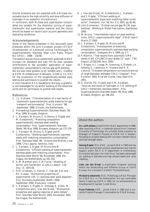Similar problems are not expected with a Ni-base consumable due to the high solubility and slow diffusion of hydrogen in an austenitic microstructure.

In conclusion, both Ni-base and superduplex consumables are suitable for the dissimilar joining of supermartensitic and superduplex material and the choice should be based on factors such as joint geometry and operating conditions.

#### Acknowledgements

Some of the results presented in this document were produced within the joint European project JOTSUP (Development of Advanced Joining Technologies for Supermartensitic Stainless Steel Line Pipes, Project No: GRD1 – 1999 – 10278).

The authors would like to extend their gratitude to NKK Europe Ltd, Weldtech and Valk IPS for their valuable contributions to the successful application of supermartensitic consumables to narrow gap girth welding. We are also most grateful to W. Schäfer and J. Heather

at EEW (Erndtebrücker Eisenwerk, Gmbh & Co. KG) for the production of the longitudinally-welded pipe, testing and permission to publish the results.

Arctos Industrier AS in Sandefjord, Norway, is gratefully acknowledged for its skilful welding of the dissimilar joints and for permission to publish test results.

#### References

- 1. J.J. Dufrane, "Characterisation of a new family of martensitic-supermartensitic plate material for gas transport and processing". Proc. Eurocorr '98, September 1998, Utrecht, the Netherlands.
- 2. Proceedings Supermartensitic Stainless Steels '99, May 1999, Brussels, Belgium.
- 3. L. Karlsson, W. Bruins, C. Gillenius, S. Rigdal and M. Goldschmitz, "Matching composition supermartensitic stainless steel welding consumables." Proc. Supermartensitic Stainless Steels '99, May 1999, Brussels, Belgium, pp 172-179.
- 4. L. Karlsson, W. Bruins, S. Rigdal and M. Goldschmitz, "Welding supermartensitic stainless steels with matching composition consumables". Proc. Stainless Steel '99 - Science and Market, June 1999, Chia Laguna, Sardinia, Italy.
- 5. L. Karlsson, S. Rigdal, W. Bruins and M. Goldschmitz, "Efficient welding of supermartensitic stainless steels with matching consumables", Proc. Stainless Steel World '99, November 1999, the Hague, the Netherlands, pp 341-354.
- 6. A.W. Marshall and J.C.M.Farrar, "Welding of ferritic and martensitic 11-14%Cr steels". IIW Doc. IX 1975-00.
- 7. O.M. Akselsen, G. Rørvik, C. Van der Eijk and P.E. Kvaale, "Mechanical properties of experimental 13% Cr stainless steel weld deposits". Proc. Nordiska Svetsmötet (NSM) 2000, September 2000, Reykjavik, Iceland.
- 8. L. Karlsson, S. Rigdal, A. Dhooge, E. Deleu, M. Goldschmitz and J. Van den Broek, "Mechanical properties and ageing response of weld metals", Proc. Stainless Steel World '2001, November 2001, the Hague, the Netherlands.
- 9. J. Van den Broek, M. Goldschmitz, L. Karlsson and S. Rigdal, "Efficient welding of supermartensitic pipes with matching metal cored wires", Svetsaren, Vol. 56, No. 2-3, 2001, pp 42-46.
- 10. John Emmerson, "Orbital narrow gap MCW pipe welding", Welding & Metal Fabrication, September 2000.
- 11. W. Bruins, "Intermediate report on pipe welding trials, 13%Cr supermartensitic steel", ESAB report March 27 2000.
- 12.L. Karlsson, S. Rigdal, W. Bruins and M. Goldschmitz, "Development of matching composition supermartensitic stainless steel welding consumables", Svetsaren No.3, 1999, pp 3-7.
- 13. P. Woollin, "Test results from automatic GMA welds in NK-CR13W2.5 sour grade 12" pipe", TWI Report 12726/1/00, Nov. 2000.
- 14. T. Rogne, H.I. Lange, M. Svenning, S. Ålstedt, J.K. Solberg, E. Ladanova, R. Howard and R. E. Leturno, "Elevated temperature corrosion/cracking of large diameter weldable 13%Cr linepipe", Proc. Eurocorr 2001, Riva del Garda, Italy, Sept-Oct 2001.
- 15. G. Rørvik, P.E. Kvaale and O.M. Akselsen, "Sources and levels of hydrogen in TIG welding of 13%Cr martensitic stainless steels", Proc. Supermartensitic Stainless Steels '99, May 1999, Brussels, Belgium, pp 196-203.

# *About the authors*

**Dr. Leif Karlsson** joined ESAB's R&D department in 1986, after receiving a Ph.D. in materials science from Chalmers University of Technology. He currently holds a position as Manager of Research Projects at ESAB AB in Sweden, focussing on projects dealing with corrosion resistant alloys and high strength steels.

**Solveig Rigdal**, MSc, EWE, joined ESAB in 1982 and has since then worked with product development and market support within the R  $\&$  D department in Gothenburg. During the last years, her main focus has been submerged arc welding of stainless and high alloyed steels and strip cladding.

**John van den Broek** is Application Engineer working within the Shipbuilding and Offshore Group of ESAB Europe. He is located in Utrecht, The Netherlands.

**Michael Goldschmitz**, B.SC. Metallurgy, is R&D Manager for ESAB B.V. in The Netherlands. He was nominated Senior Expert by ESAB in 1995, for his achievements as Development Engineer Cored Wires.

**Rune Pedersen** EWE , joined ESAB in 1985 and is currently Product Manager Consumables for ESAB Norway .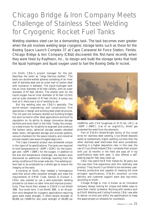# <span id="page-20-0"></span>Chicago Bridge & Iron Company Meets Challenge of Stainless Steel Welding for Cryogenic Rocket Fuel Tanks

Welding stainless steel can be a demanding task. The task becomes even greater when the job involves welding large cryogenic storage tanks such as those for the Boeing Space Launch Complex 37 at Cape Canaveral Air Force Station, Florida. Chicago Bridge & Iron Company (CB&I) discovered this first-hand recently when they were hired by Raytheon, Inc., to design and build the storage tanks that hold the liquid hydrogen and liquid oxygen used to fuel the Boeing Delta IV rocket.

Jim Smith, CB&I's project manager for the job, describes the tanks as "large thermos bottles." The tanks are double-walled spheres consisting of an inner wall of stainless steel and an outer wall of carbon steel with insulation in between. The liquid hydrogen tank has an inner diameter of 61 feet (18.6m), with an outer diameter of 67 feet (20.4m). The smaller tank for the liquid oxygen has an inner diameter of 41 feet (12.5m) and an outer diameter of 47 feet (14.3m). Anyway you look at it, there was a lot of welding to do.

But big welding jobs are CB&I's specialty. The world-renown engineering and construction firm specializes in design and building steel plate structures. The 112 year-old company started out building bridges but soon turned to other steel applications and built its reputation on its ability to design innovative storage facilities and erect them in the field. Today, the company is best known for its ability to engineer and construct flat bottom tanks, spherical storage vessels, elevated water tanks, refrigerated storage and process systems, vacuum chambers for the space industry, and industrial process vessels (see www.chicagobridge.com).

The Cape Canaveral project was somewhat unique in the rigors of its specifications. The tanks are required to hold temperatures of –424ºF (-253ºC) for the hydrogen and –320ºF (-196ºC) for the oxygen. In addition to the size and temperature challenges, the welders soon discovered an additional challenge resulting from the windy conditions of the ocean side site. The welding surface had to be protected by a shield gas to ensure the integrity of the weld.

According to Smith, they needed a homogenous weld that would offer excellent strength and meet the requirements of AMSE Code, Section 8, Division 1. CB&I also wanted to use a semi-automatic welding process to cut down on labor time and improve productivity. They found their answer in ESAB's Cryo-Shield 308L flux-cored wire. Cryo-Shield 308L is an all-position wire designed for cryogenic applications requiring good weld metal strength. It offers tensile strength of 80,000 psi (550MPa) and yield strength of 60,000 psi

![](_page_20_Picture_6.jpeg)

(410MPa) with CVN toughness of 25 ft.-lbs. (34 J) at  $-320$ <sup>o</sup>F ( $-196$ <sup>o</sup>C). Use of an argon/CO<sub>2</sub> shield gas protected the weld from the elements.

Part of ESAB's Shield-Bright family of flux cored wires for stainless steel welding, Cryo-Shield deposits welds at substantially higher welding currents than the other stainless steel electrodes that were considered, resulting in a higher deposition rate. In this case, the use of Cryo-Shield helped CB&I complete their project with just 10 months in the field and pass all X-ray qualifications tests with ease. It also offered a selfpeeling slag for fast, easy clean-up.

CB&I has used ESAB filler metals for 30 years, but this was their first experience with this relatively new product. They found Cryo-Shield to be extremely userfriendly, productive and capable of meeting the most stringent specifications. ESAB's excellent on-time delivery and customer support were also top-notch, according to Smith.

Chicago Bridge & Iron is known as an innovative company, always looking for unique and better ways to solve their clients' problems. Working with vendors such as ESAB Welding and Cutting Products, CB&I was able to deliver on-time and within the specifications to keep this space project on schedule for countdown.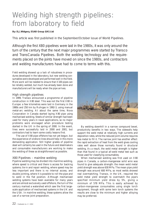# <span id="page-21-0"></span>Welding high strength pipelines: from laboratory to field

# **By: D.J.Widgery, ESAB Group (UK) Ltd**

This article was first published in the September/October issue of World Pipelines.

Although the first X80 pipelines were laid in the 1980s, it was only around the turn of the century that the next major programmes were started by Transco and TransCanada Pipelines. Both the welding technology and the requirements placed on the joints have moved on since the 1980s, and contractors and welding manufacturers have had to come to terms with this.

Field welding showed up a lack of robustness in procedures developed in the laboratory, but new welding consumables were developed and performed well in the field. More work will be needed to ensure that X100 pipes can be reliably welded, but much has already been done and manufacturers will be ready when the pipe arrives.

# High strength pipelines

In 1999, Transco announced a programme of pipeline construction in X80 steel. This was not the first X80 in Europe: a few kilometres were laid in Germany in the 1980s and 250 km by Ruhrgas in 1992-3, using manual metal-arc welding. At about the same time, Nova Corporation in Canada started laying X80 pipe using mechanised welding. Steels of similar strength had been used for many years in naval applications, so no major problems were envisaged when procedure testing started in the UK in the spring of 2000. In the event, lines were successfully laid in 2000 and 2001, but contractors had to learn some costly lessons first.

The use of X80 pipe offshore has not yet begun, but the experience of onshore lines should help in this more demanding application. Still higher grades of pipeline steel will certainly be used in the future and steelmakers and consumable manufacturers are working to make the welding of these as straightforward as possible.

# X80 Pipelines – mainline welding

Pipeline welding may be divided into mainline welding, where speed is critical and there is access for backing systems; tie-in and repair welding, where speed may be less important and there is no internal access, and double jointing, where it is possible to roll the pipe and to weld in the flat position. Although mechanised welding systems have been available for many years and are almost exclusively used offshore, the turn of the century marked a watershed which saw the first largescale application of mechanised systems in the UK and the USA. In mainline welding, these systems allow the use of a narrow joint preparation.

![](_page_21_Picture_10.jpeg)

By welding downhill in a narrow compound bevel, productivity benefits in two ways. The sidewalls help support the weld metal at relatively high currents and deposition rates, while the reduced joint volume requires less metal to fill it. The narrow joint has another effect: the rapid extraction of heat from the weld gives cooling rates well above those normally found in structural welding. As a result, the weld metal strength is higher than that found in a typical all-weld metal test such as those used for classifying consumables.

When mechanised welding was first used on X80 pipes in Canada, a carbon-manganese solid wire was found to give adequate strength: the mean weld metal yield strength was above 630 MPa. The mean pipe yield strength was around 600 MPa, so most welds showed real overmatching. Transco, in the UK, required the weld metal yield strength to overmatch the pipe's specified minimum yield stress by 5%, giving a minimum of 578 MPa. This is easily achieved by carbon-manganese consumables using single torch equipment, though with some twin torch systems the results are close to the minimum and higher alloying may be preferred.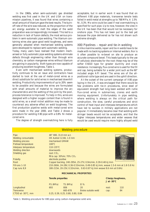In the 1960s, when semi-automatic gas shielded welding was first used in the UK and USA on transmission pipelines, it was found that wires containing a small amount of titanium gave the best results. The burnoff rate of the wire was reduced, so the proportion of the arc energy available to melt the edges of the weld preparation was correspondingly increased. This led to a reduction in lack of fusion defects, the most serious problem in semi-automatic pipe welding. The titanium containing wires also gave good weld toughness, and were generally adopted when mechanised welding systems were developed to replace semi-automatic welding. Today, many users have realised that modern mechanised or fully automatic pipe welding systems eliminate defects through engineering rather than through wire chemistry, so carbon manganese wires without titanium are gaining in popularity. Both types are now capable of

producing excellent toughness, Table 1. Even with mechanised welding systems, productivity continues to be an issue and contractors have started to look at the use of metal-cored wires as a direct substitute for solid wires in mechanised downhill welding. Productivity improvements of up to 20% seem to be possible and because the wires are formulated with small amounts of material to improve the arc characteristics and the wetting of the joint by the pool, process tolerance is improved. To help in this, wires are designed with a higher oxygen content than is found in solid wires, so a small nickel addition may be made to counteract any adverse effect on weld toughness. The first production pipeline welds with metal-cored wire were made in the year 2000, and Table 2 shows a procedure for welding X80 pipe with a 0.8% Ni metalcored wire.

The degree of strength overmatching here is fully

acceptable, but in earlier work it was found that on different X80 pipe materials, transverse tensile tests failed in weld metal at strengths up to 768 MPa. A 1.5% Ni, 0.3% Mo wire could be used if real overmatching is specified for such pipe. Up to now, however, the view in the UK has been that that would not be necessary for onshore pipe. This has not been put to the test yet because the pipe delivered so far has not shown such extreme strength.

#### X80 Pipelines – repair and tie-in welding

Unlike mainline welds, repair and tie-in welds have to be made with no backing systems or internal welders. Nor is it often possible to re-bevel on site to produce an accurate compound bevel. This leads typically to the use of cellulosic electrodes for the root: these may be of the softer E6010 type for greater ductility and crack resistance. Increasingly, flux-cored wire is used for the fill and cap, being suitable for a wider joint such as the 60° included angle API bevel. The wires are of the allpositional rutile type and are used in the uphill direction.

At the outset of the current campaign of X80 pipe laying in the UK, it was envisaged that there would be few problems with tie-in procedures, since steel of equivalent strength had long been welded with rutile flux-cored wires in submarines, cranes and earth moving equipment. Unfortunately in pipe welding, where welding is always on the critical path for construction, the slow, careful procedures and strict control of heat input and interpass temperatures which have led to success in military applications are not popular. It immediately became clear that welding with stringer beads would not be acceptable, and that the higher interpass temperatures and wider weaves that would be used would require more highly alloyed weld

|                                                                                                                                                                                                  |                                                                                                                            | <b>Welding procedure</b>                                              |                                                                                                                                                                                                                      |                      |                   |
|--------------------------------------------------------------------------------------------------------------------------------------------------------------------------------------------------|----------------------------------------------------------------------------------------------------------------------------|-----------------------------------------------------------------------|----------------------------------------------------------------------------------------------------------------------------------------------------------------------------------------------------------------------|----------------------|-------------------|
| Pipe<br>Welding consumable<br><b>Welding process</b><br>Preheat temperature<br>Interpass temperature<br>Welding direction<br>Shielding gas<br>Polarity<br>Root<br>Fill runs 1-10<br>Cap runs 8,9 | 48" X80, 31.8 mm w.t.<br>mechanised GMAW<br>$108^{\circ}$ C<br>110-135°C<br>downwards<br>root: $CO2$<br>electrode positive | OK Autrod 12.66, 1.0 mm<br>fill & cap: $30\%$ Ar, 70% CO <sub>2</sub> | Copper backing, 240-295A, 25-27V, 0.9m/min, 0.39-0.48 kJ/mm<br>210-260A, 24-28V, 0.36-0.53m/min, 0.49-0.85 kJ/mm, weave 1.5-6 mm at 1.8-5.8 Hz<br>180-215A, 20-23V, 0.32m/min, 0.63-0.87 kJ/mm weave 8.6 mm at 0.6Hz |                      |                   |
|                                                                                                                                                                                                  |                                                                                                                            |                                                                       | <b>MECHANICAL PROPERTIES</b>                                                                                                                                                                                         |                      |                   |
|                                                                                                                                                                                                  | <b>Tensile properties</b>                                                                                                  |                                                                       |                                                                                                                                                                                                                      | J at $-30^{\circ}$ C | Charpy toughness, |
|                                                                                                                                                                                                  | PS (MPa)                                                                                                                   | TS (MPa)                                                              | E1%                                                                                                                                                                                                                  |                      |                   |
| Longitudinal                                                                                                                                                                                     | 693                                                                                                                        | 806                                                                   | 20                                                                                                                                                                                                                   | root:                | 110               |
| <b>Transverse</b>                                                                                                                                                                                |                                                                                                                            | 665-678                                                               | Broke outside weld                                                                                                                                                                                                   | cap:                 | 84                |
| CTOD at -30°C, mm                                                                                                                                                                                |                                                                                                                            | 0.25, 0.39, 0.25, 0.80, 0.80, 0.84                                    |                                                                                                                                                                                                                      |                      |                   |

*Table 1. Welding procedure for X80 pipe using carbon-manganese solid wire.*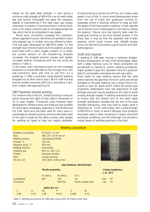metals for the same steel strength. A wire giving a minimum yield strength of 620 MPa in an all-weld-metal test was quickly formulated and gave the necessary degree of overmatching if the heat input was closely controlled. In practice, it was found that in a 16 mm thick joint, a full weave could be used on all passes except the cap, which had to be completed in two passes.

While some contractors accepted this limitation, others regarded it as too restrictive and wanted to use a fully weaved cap. A further wire was offered to them. This had been developed for 690 MPa steels. At this strength level, the wire had to be formulated to produce weld metal with a lower oxygen content. As a result, the surface tension of the transferring droplets increased, the droplets became coarser and spatter increased slightly. Procedures with the two wires are shown in Table 3.

In the event, main contractors opted for the increased tolerance to misuse afforded by the stronger wire, and sub-contractors were also told to use this. As a postscript, in 2001 a contractor using downhill welding dropped out at short notice and a 38 km X80 line was entirely welded using the uphill tie-in procedure, Fig 2, with a repair rate approaching 1%.

#### X80 Pipelines-double jointing

For onshore lines in the UK, double jointing is rarely an option because the rights of way restrict movement of 24 m pipe lengths. Procedures have however been developed for offshore work and these are also suitable for more open landscapes, especially in the Middle and Far East. Solid wire has been used for many years in submerged arc double jointing, and since the seam weld of the pipe is made by the same process, alloy grades for welding all types of pipe are readily available.

Double jointing is carried out off line, so in many cases speed is not critical. A more recent development arises from the use of triple and quadruple jointing on laybarges, where it becomes difficult to keep up with the speed of the fixed position welding. In that case the use of tubular wire in submerged arc can help to redress the balance. Tubular wire has recently been used for quadruple jointing on the Blue Stream project in the Black Sea. It may be that the expected new Alaska pipeline, which could involve over 100,000 double joints, will see the first onshore use of tubular wire with submerged arc.

#### X100 and beyond

If welding of X80 pipe involves a relatively straightforward extrapolation of well tried technologies, albeit with a steep learning curve for those contractors not accustomed to having to control welding procedures, higher grades of pipe will represent more of a quantum step for consumable manufacturers and users alike.

Most codes for pipe welding require that the weld metal matches the specified minimum yield and tensile strengths of the pipe material, but a recent trend is for clients to look for welds which match the actual pipe properties. Steelmakers have less experience of high strength pipe and may be tempted to aim high to avoid missing strength targets. If welding manufacturers have to ensure that the bottom end of the weld metal strength distribution exceeds the top end of the pipe strength distribution, they may have to supply what is effectively an "X120" weld metal, with a yield strength of 830 MPa or more, to weld X100 pipe. Such products have been used in other industries in closely controlled workshop conditions, but the challenge is to provide a robust means of welding pipelines in the field.

|                                                                                                                                                               |                   |                                                                                                                                                                                                |                | <b>Welding procedure</b>     |                    |                      |                   |
|---------------------------------------------------------------------------------------------------------------------------------------------------------------|-------------------|------------------------------------------------------------------------------------------------------------------------------------------------------------------------------------------------|----------------|------------------------------|--------------------|----------------------|-------------------|
| Welding consumable<br>Pipe<br>Welding process<br>Preheat, °C<br>Interpass temp, °C<br>Welding direction<br>Shielding gas<br>Polarity<br>Root<br>Fill runs 1-8 |                   | PZ 6104, 1.2 mm<br>X80, 24" x 25.8 mm wt<br>mechanised GMAW<br>100 min<br>200 max<br>downwards<br>80% Ar, 20% CO <sub>2</sub><br>Electrode positive<br>Copper backing<br>24V, 260A, 0.68 kJ/mm |                |                              |                    |                      |                   |
|                                                                                                                                                               |                   |                                                                                                                                                                                                |                | <b>MECHANICAL PROPERTIES</b> |                    |                      |                   |
|                                                                                                                                                               |                   | <b>Tensile properties</b><br>PS (MPa)                                                                                                                                                          | TS (MPa)       | E1%                          |                    | J at $-40^{\circ}$ C | Charpy toughness, |
| Longitudinal<br><b>Transverse</b>                                                                                                                             |                   | 667                                                                                                                                                                                            | 728<br>608-632 | 18                           | Broke outside weld | root:<br>cap:        | 87<br>74          |
|                                                                                                                                                               |                   | ANALYSIS (%)                                                                                                                                                                                   |                |                              |                    |                      |                   |
| $\overline{C}$<br>0.08                                                                                                                                        | <b>Si</b><br>0.59 | Mn<br>1.68                                                                                                                                                                                     | P<br>0.012     | S<br>0.008                   | Ni<br>0.73         |                      |                   |

*Table 2. Welding procedure for X80 pipe using 0.8% Ni metal-cored wire.*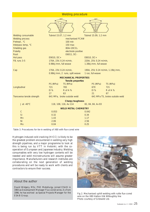|                                                                                                                 | <b>Welding procedure</b>                                                                                                                                                         |                                                                    |
|-----------------------------------------------------------------------------------------------------------------|----------------------------------------------------------------------------------------------------------------------------------------------------------------------------------|--------------------------------------------------------------------|
|                                                                                                                 |                                                                                                                                                                                  | 60°                                                                |
| Welding consumable<br>Welding process<br>Preheat, °C<br>Interpass temp, °C<br>Shielding gas<br>Polarity<br>Root | Tubrod 15.07, 1.2 mm<br>mechanised FCAW<br>100 min<br><b>150 max</b><br>80Ar-20CO <sub>2</sub><br>electrode positive<br>E6011, DC-                                               | Tubrod 15.09, 1.2 mm                                               |
| Hot pass<br>Fill, runs 3-5                                                                                      | E9010, DC+<br>170A, 23V, 0.24 m/min,<br>0.98kJ/mm, full weave                                                                                                                    | E8010, DC+<br>220A, 25V, 0.24 m/min,<br>1.38kJ/mm, full weave      |
| Cap                                                                                                             | 170A, 23V, 0.24 m/min,<br><b>STATE OF STATE OF STATE OF STATE OF STATE OF STATE OF STATE OF STATE OF STATE OF STATE OF STATE OF STATE OF S</b><br>0.98kJ/mm, 2 runs, split weave | 190A, 25V, 0.24 m/min, 1.19kJ/mm,<br>1 run, full weave             |
|                                                                                                                 | <b>MECHANICAL PROPERTIES</b><br><b>Tensile properties</b>                                                                                                                        |                                                                    |
| Longitudinal                                                                                                    | TS (MPa)<br>PS (MPa)<br>721<br>765<br>EI %<br>R of A %<br>17<br>63                                                                                                               | PS (MPa)<br>TS (MPa)<br>670<br>721<br>R of A %<br>EI %<br>21<br>67 |
| Transverse tensile strength                                                                                     | 641 MPa, broke outside weld                                                                                                                                                      | 641 MPa TS, broke outside weld                                     |
|                                                                                                                 | <b>Charpy toughness</b>                                                                                                                                                          |                                                                    |
| $J$ at -40 $^{\circ}$ C                                                                                         | 118, 108, 116, Av 114<br><b>WELD METAL CHEMISTRY</b>                                                                                                                             | 82, 84, 84, Av 83                                                  |
| $\mathsf{C}$<br>Si<br>Mn<br>Ni<br>Mo                                                                            | 0.053<br>0.32<br>1.43<br>2.06<br>0.04                                                                                                                                            | 0.042<br>0.34<br>1.17<br>2.56<br>0.25                              |

*Table 3. Procedures for tie-in welding of X80 with flux-cored wire*

Hydrogen-induced cold cracking (HICC) is likely to be the greatest problem encountered in welding very high strength pipelines, and a major programme to look at this is being run by VTT in Helsinki, with the cooperation of European and Japanese industry. Welding consumables with very low hydrogen contents will be needed and weld microstructures will assume greater importance. Manufacturers and research institutes are collaborating on the next generation of welding procedures and will be ready to work with clients and contractors to ensure their success.

# *About the author*

David Widgery, MSc, PhD Metallurgy, joined ESAB in 1983 as Development Manager Flux-cored wires. As from 1996, he has worked as Special Projects Manager for the ESAB Group.

![](_page_24_Picture_5.jpeg)

*Fig 2. Mechanised uphill welding with rutile flux-cored wire on the X80 Hatton-Silk Willoughby line Photo courtesy of Gridweld Ltd.*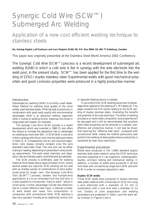# <span id="page-25-0"></span>Synergic Cold Wire (SCW™) Submerged Arc Welding

Application of a new cost efficient welding technique to stainless steels

#### **By: Solveig Rigdal, Leif Karlsson and Lars Östgren ESAB AB, P.O. Box 8004, SE-402 77 Göteborg, Sweden**

This paper was originally presented at the Stainless Steel World America 2002 Conference.

The Synergic Cold Wire (SCW™) process is a recent development of submerged arc welding (SAW) in which a cold wire is fed in synergy with the wire electrode into the weld pool. In the present study, SCW™ has been applied for the first time to the welding of 22%Cr duplex stainless steel. Experimental welds with good mechanical properties and good corrosion properties were produced in a highly productive manner.

#### Introduction

Submerged arc welding (SAW) is currently a well established method for welding most grades of the more widely used stainless steels. Offering high productivity in combination with good weld quality and environmental advantages, SAW is an attractive method, especially when it comes to welding thicker materials like those in large pipes and vessels, for example.

The Synergic Cold Wire (SCW) process is a recent development which was invented in 1998 (1) and offers the chance to increase the deposition rate in submerged arc welding by more than 50%. In SCW-SAW, a cold wire is fed in synergy with the arc wire into the weld pool where it melts (2, 3). Consequently, the arc and cold-wire deposition ratio always remains constant once the wire diameters have been fixed. The cold wire can be either trailing or leading, depending on penetration versus buildup requirements. The weld metal chemistry and deposition rate are thereby easily controlled and pre-selected.

The SCW process is preferably used for welding material thicknesses above approximately 8 mm, where several passes are required. SCW welding can be used with an endless variety of combinations of solid and/or cored wires for single-, twin- (the Synergic Cold Wire Twin [SCWT™] process), tandem- and multiple-wire applications. As no arc emanates from the cold wire, it is also possible to incorporate "hard to weld"' alloys in cored wires. Further advantages include less distortion due to a lower effective heat input, a reduced number of weld beads and lower flux consumption in comparison with conventional SAW. SCW welding is also very operator friendly as no additional control unit or separate feeding device is needed.

In just a short time, SCW welding has proven its advantages when applied to the welding of C-Mn steels (4). This paper presents the first results relating to the SCW welding of duplex stainless steels, illustrating the benefits and potential of this new technique. The effect of welding procedure on weld metal composition and properties will be discussed and it will be demonstrated that excellent weld metal properties can be achieved in a reliable, costeffective and productive manner. It will also be shown that lowering the "effective heat input", compared with conventional SAW, makes the method particularly well suited to the welding of steel grades where productivity is hampered by heat input restrictions.

#### Experimental procedure

Welds were produced in EN 1.4462 standard duplex stainless steel plate material using the SCW technique and were subjected to X-ray inspection, metallographic studies, corrosion testing and mechanical testing. In addition, a number of welds were produced in 20 mm mild steel with conventional single-wire SAW and with SCW in order to compare deposition rates.

#### **Duplex SCW welds**

Three SCW welds were produced in duplex stainless steel plate material with a thickness of 14-22 mm using a wire electrode with a diameter of 3.2 mm in combination with a cold wire with a diameter of 2.4 mm. Details of joint preparation and welding parameters are presented in Table 1 and the weld setup is shown in Figures 1 and 2.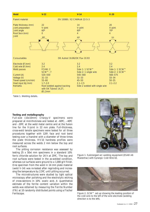![](_page_26_Figure_0.jpeg)

*Table 1. Welding details.*

#### *Testing and metallography*

Full-size (10x10mm) Charpy-V specimens were prepared at mid-thickness and tested at –60ºC, –40ºC and –20ºC at the weld metal centre and at the fusion line for the V-joint in 22 mm plate. Full-thickness, cross-weld tensile specimens were tested for all three procedures together with 120º, face and root bend testing over a mandrel with a diameter of three times the plate thickness. HV10 hardness profiles were measured across the welds 2 mm below the top and root surfaces.

The pitting corrosion resistance was assessed by testing 25 x 50xt mm specimens in a standard 10% ferric chloride solution for 24 h at 25ºC. The top and root surfaces were tested in the as-welded condition, whereas cut surfaces were ground to a 1,000 grit finish. One specimen from the weld in 14 mm plate material (weld V-14) was re-tested after regrinding and increasing the temperature by 2.5ºC until pitting occurred.

The microstructures were studied by light optical microscopy after polishing and the electrolytic etching of cross-sections in 10% oxalic acid. A quantitative estimate of the ferrite content variation within the welds was obtained by measuring the Ferrite Number (FN) at 10 randomly distributed points using a Fischer Feritscope.

![](_page_26_Picture_6.jpeg)

*Figure 1. Submerged arc welding equipment (ESAB A6 Mastertrac) with Synergic Cold Wire kit.*

![](_page_26_Picture_8.jpeg)

*Figure 2. SCW™ set up showing the leading position of the cold wire to the left of the wire electrode (welding direction is to the left).*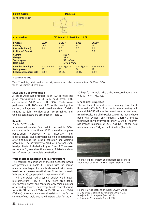| <b>Parent material</b>                                                                                                              |                            | <b>Mild steel</b>                                                                   |                            |                                         |
|-------------------------------------------------------------------------------------------------------------------------------------|----------------------------|-------------------------------------------------------------------------------------|----------------------------|-----------------------------------------|
| Joint configuration                                                                                                                 |                            | 16mm                                                                                | 20mm                       |                                         |
| <b>Consumables</b>                                                                                                                  |                            | <b>OK Autrod 12.22/OK Flux 10.71</b>                                                |                            |                                         |
| <b>Process</b><br><b>Polarity</b><br>Electrode Ø(mm)<br>Cold wire* Ø(mm)<br>Current<br>Voltage<br><b>Travel speed</b><br>Heat input | <b>SAW</b><br>$DC+$<br>3.0 | SCW™<br>$DC +$<br>3.0<br>2.0<br>500 A<br>32 <sub>V</sub><br>55 cm/min<br>1.75 kJ/mm | <b>SAW</b><br>AC.<br>3.0   | SCW™<br>AC<br>3.0<br>2.0                |
| <b>Effective heat input</b><br><b>Weld passes</b><br>Relative deposition rate                                                       | 1.75 kJ/mm<br>20<br>100%   | 1.21 kJ/mm<br>13<br>154%                                                            | $1.75$ kJ/mm<br>18<br>100% | 1.21 kJ/mm<br>$12 \overline{ }$<br>150% |

\* leading cold wire

*Table 2. Welding details and productivity comparison between conventional SAW and SCW for an ISO joint in 20 mm plate.*

#### **SAW and SCW comparison**

A set of welds was produced in an ISO all-weld test joint configuration, in 20 mm mild steel, with conventional SAW and with SCW. Tests were performed with DC+ and AC, while keeping the current, voltage and travel speed constant. Details relating to joint configuration, consumables and welding parameters are presented in Table 2.

#### **Results**

#### Duplex SCW welds

A somewhat smaller face had to be used in SCW compared with conventional SAW to avoid incomplete penetration. However, X-ray inspection and microstructural studies revealed no weld imperfections after fine-tuning the joint preparation and welding procedure. The possibility to produce a flat and even bead profile is illustrated in Figures 3 and 4. The crosssections in Figure 4 show the absence of defects such as lack of fusion or incomplete penetration.

#### *Weld metal composition and microstructure*

The chemical compositions of the last deposited beads are presented in Table 3. Dilution with the parent material was larger for welds deposited with fewer beads, as can be seen from the lower Ni content in welds V-14 and X-20 compared with that in weld V-22.

All the welds had a typical duplex weld metal microstructure (Fig. 5). They were free from intermetallic phases and contained only small amounts of secondary ferrite. The average ferrite content varied from 46 FN for weld V-14 to 75 FN for weld X-20 (Table 4). A comparatively small variation in the ferrite content of each weld was noted in particular for the X-

20 high-ferrite weld where the measured range was only 71-79 FN (Fig. 5b).

#### *Mechanical properties*

The mechanical properties were on a high level for all three welds (Table 5). Fracture in tensile testing took place at 748-788 MPa in the parent material, well away from the weld, and all the welds passed the root and face bend tests without any remarks. Charpy-V impact testing was only performed for the V-22 weld. The average impact toughness at -20ºC was 125 J at the weld metal centre and 154 J at the fusion line (Table 5).

![](_page_27_Picture_14.jpeg)

*Figure 3. Typical smooth and flat weld bead surface appearance of SCW™ weld in duplex stainless steel.*

![](_page_27_Figure_16.jpeg)

*Figure 4. Cross sections of duplex SCW™ welds. a) One sided V-joint in 22 mm plate (weld V-22). b) V-joint in 14 mm plate (weld V-14). c) X-joint in 20 mm plate (weld X-20).*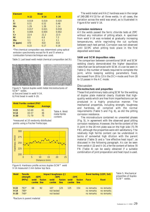| <b>Element</b> | <b>Weld</b> |          |        |  |  |  |
|----------------|-------------|----------|--------|--|--|--|
|                | $V-22$      | $V - 14$ | $X-20$ |  |  |  |
| C              | 0.019       | 0.019    | 0.020  |  |  |  |
| Si             | 0.51        | 0.52     | 0.48   |  |  |  |
| Mn             | 1.29        | 1.39     | 1.14   |  |  |  |
| P              | 0.017       | 0.021    | 0.018  |  |  |  |
| S              | 0.004       | 0.004    | 0.002  |  |  |  |
| Cr             | 22.6        | 22.2     | 22.5   |  |  |  |
| Ni             | 8.0         | 6.8      | 7.2    |  |  |  |
| Mo             | 3.1         | 3.1      | 3.1    |  |  |  |
| $O$ (ppm)      | 470         | 410      | 410    |  |  |  |
| N              | 0.15        | 0.17     | 0.16   |  |  |  |

\*The chemical composition was determined using optical emission spectrometry except for N and O where a combustion furnace technique was used.

*Table 3. Last bead weld metal chemical composition (wt.%).*

![](_page_28_Picture_3.jpeg)

*Figure 5. Typical duplex weld metal microstructures of SCW™ welds.* 

*a) Second bead in weld V-14.* 

*b) First bead in weld X-20.* 

|        | Weld Ferrite content (FN)*<br>Range | Average |               |
|--------|-------------------------------------|---------|---------------|
| $V-22$ | $52-69$                             | 61      | Table 4. Weld |
| $V-14$ | $43 - 57$                           | 46      | metal ferrite |
| $X-20$ | $71 - 79$                           | 75      | content.      |

*\*measured at 10 randomly distributed points using a Fischer Feritscope.*

![](_page_28_Figure_9.jpeg)

*Figure 6. Hardness profile across duplex SCW™ weld V-14 measured 2 mm below top face.*

The weld metal and HAZ hardness was in the range of 240-280 HV10 for all three welds. In all cases, the variation across the weld was small, as is illustrated in Figure 6 for weld V-14.

#### *Corrosion resistance*

All the welds passed the ferric chloride tests at 25ºC without any indication of pitting attack. A specimen from weld V-14 was re-tested at gradually increasing temperatures, while regrinding the cut surfaces between each test period. Corrosion was not observed until 32.5ºC when pitting took place in the first deposited weld bead.

#### **SAW and SCW deposition rates**

The comparison between conventional SAW and SCW welding clearly demonstrated the higher deposition rates that can be achieved with SCW. As can be seen in Table 2, the number of beads required to complete the joint, while keeping welding parameters fixed, decreased from 20 to 13 in the DC+ mode and from 18 to 12 passes in the AC mode.

#### Discussion

#### **Microstructure and properties**

These first preliminary tests using SCW for the welding of duplex plate material clearly illustrate that highquality welds which are free from imperfections can be produced in a highly productive manner. The mechanical properties, including strength, toughness and hardness, all complied with the normal requirements (Table 5 and Fig. 6), as did the pitting corrosion resistance.

The microstructure contained no unwanted phases (Fig. 5), in agreement with the observed good pitting corrosion resistance. However, the ferrite content of the X-joint in the 20 mm plate was on the high side (71-79 FN), although the properties were still satisfactory. The relatively high ferrite content can be understood in terms of somewhat high dilution with the parent material (Table 3) and a "low effective heat input", as discussed in the following paragraph. As can be seen from welds V-22 and V-14, a ferrite content of below 70 FN (Table 4) can be easily obtained if a suitable combination of joint preparation and heat input is used.

| <b>Weld</b>                | <b>Tensile</b><br>Impact toughness (J)<br>$-40^{\circ}$ C<br>strength<br>$-60^{\circ}$ C |                     | $-20^{\circ}$ C  |                                 | Bend testing (120°, 3xt) |        |                       |                                        |                                        |
|----------------------------|------------------------------------------------------------------------------------------|---------------------|------------------|---------------------------------|--------------------------|--------|-----------------------|----------------------------------------|----------------------------------------|
|                            | (MPa)                                                                                    | weld<br>centre line | <b>Example 1</b> | weld fusion weld<br>centre      | line                     | centre | fusion<br><b>line</b> | Face                                   | Root                                   |
| $V-22$<br>$V-14$<br>$X-20$ | $763*$<br>788*<br>$748*$                                                                 | 68                  | 92               | 107<br>not tested<br>not tested | 125                      | 125    | 154                   | no remarks<br>no remarks<br>no remarks | no remarks<br>no remarks<br>no remarks |

*\*fracture in parent material*

*Table 5. Mechanical properties of duplex SCW™ welds.*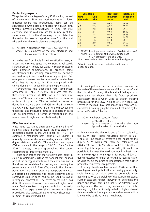#### **Productivity aspects**

The potential advantages of using SCW welding instead of conventional SAW are most obvious for thicker material where the productivity gains can be significant. Fewer beads are needed for a given joint, thereby increasing productivity. In SCW, the wire electrode and the cold wire are fed in synergy at the same speed. It is therefore easy to calculate the theoretical increase in deposition rate from the cold wire and wire electrode diameters (Equation 1).

#### [1] Increase in deposition rate =100 x  $d_{cw}^2/d_e^2$  (%) where:  $d_e$  = diameter of the wire electrode and  $d_{\text{cw}}$  = diameter of the cold wire

As can be seen from Table 6, the theoretical increase, at a constant wire feed speed and constant travel speed, ranges from 25% to 69% for typical wire electrode/cold wire diameter combinations. In practice, some adjustments to the welding parameters are normally required to optimise the welding for a given joint. For example, as discussed earlier, a somewhat smaller face often has to be used in SCW compared with conventional SAW to avoid incomplete penetration.

Nevertheless, the deposition rate comparison presented in Table 2 clearly illustrates that the theoretical increase of 44% for a 3.0 mm wire electrode/2.0 mm cold wire combination can also be achieved in practice. The estimated increases in deposition rate were 54% and 50% for the SCW DC+ and AC welds respectively. The difference between the theoretical and measured increase in deposition rates can be understood in terms of variations in the reinforcement height and penetration depth.

#### **Effective heat input**

Heat input restrictions often apply to the welding of stainless steels in order to avoid the precipitation of deleterious phases in the weld metal or HAZ. For example, a maximum heat input of 2.5 kJ/mm is normally recommended when welding standard 22%Cr duplex stainless steel (5). The nominal heat inputs (Table 1) were in the range of 2.0-2.5 kJ/mm for the SCW™ passes, thereby approaching the upper recommended limit for this material.

It has been argued that the "effective heat input" in cold wire welding is less than the nominal heat input as part of the energy is used to melt the extra wire and is therefore not available for melting and heating the parent material HAZ. Two effects would then be less penetration and a narrower high-temperature HAZ. An effect on penetration was indeed observed and a somewhat smaller face had to be used to avoid incomplete penetration. The effect on the HAZ was difficult to assess. However, the somewhat higher weld metal ferrite content, compared with that normally expected from experience of similar conventional SAW procedures, also suggests that the "effective heat input" is lower for cold wire welding.

| Wire Ø(mm)               |              | <b>Heat input</b>    | Increase in          |
|--------------------------|--------------|----------------------|----------------------|
| <b>Wire</b><br>electrode | Cold<br>wire | reduction<br>factor* | deposition<br>rate** |
| 4.0                      | 3.0          | 0.64                 | 56 %                 |
| 4.0                      | 2.5          | 0.72                 | 39%                  |
| 4.0                      | 2.0          | 0.80                 | 25 %                 |
| 3.2                      | 2.4          | 0.64                 | 56 %                 |
| 3.0                      | 2.5          | 0.59                 | 69%                  |
| 3.0                      | 2.0          | 0.69                 | 44 %                 |
| 3.0                      | 1.6          | 0.78                 | 28 %                 |
| 2.5                      | 2.0          | 0.61                 | 64 %                 |
| 2.5                      | 1.6          | 0.71                 | 40%                  |

*\* SCW™ heat input reduction factor: Cf=de2/(de2 + dcw2) where: de = diameter of the wire electrode and dcw = diameter of the cold wire.*

*\*\* Increase in deposition rate is calculated as dcw2/de2*

*Table 6. Heat input reduction factor and increase in deposition rate.* 

A heat input reduction factor has been proposed on the basis of the relative diameters of the "hot wire" and the cold wire. Although this is a simplified approach, experience has shown that this factor produces satisfactory results when used to design welding procedures for the SCW welding of C-Mn steel. An "effective reduced SCW heat input" can therefore be calculated by multiplying the nominal heat input by the factor in Equation 2 below.

[2] SCW heat input reduction factor:  $C_f = d_e^2/(d_e^2 + d_{cw}^2)$ where:  $\rm{d_{e}\,=\,diameter\,\,\,of\,\,\,the\,\,\,wire\,\,\,electrode}$  $d_{\text{cw}}$  = diameter of the cold wire.

With a 3.2 mm wire electrode and a 2.4 mm cold wire, the SCW heat input reduction factor is 0.64 (Table 6). The range of effective heat inputs for the duplex SCW welds can then be calculated as  $(0.64 \times 2.0)$  to  $(0.64 \times 2.5)$  kJ/mm = 1.3 to 1.6 kJ/mm. Assuming this approach to be valid, it would be possible to increase the maximum nominal heat input to (2.5/0.64) kJ/mm = 3.9 kJ/mm for standard 22%Cr duplex material. Whether or not this is realistic has to be verified, but the practical implication is that further productivity increases are possible.

The high ferrite content in weld X-20 shows that even higher heat inputs, further increasing productivity, could be used or might even be preferable when applying SCW to the welding of duplex stainless steels. Further tests are needed, however, to determine the upper and lower heat input limits for different joint configurations. One interesting implication is that SCW welding might be particularly suited to highly alloyed stainless steels such as superduplex and superaustenitics known to be sensitive to high heat inputs.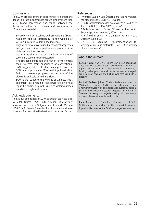# **Conclusions**

The SCW process offers an opportunity to increase the deposition rate in submerged arc welding by more than 50%. Good agreement was found between the theoretical and measured increase in deposition rate in 20 mm plate material.

- Synergic cold wire submerged arc welding (SCW) has been applied successfully to the welding of 22%Cr duplex 14-22 mm plate material.
- High-quality welds with good mechanical properties and good corrosion properties were produced in a highly productive manner.
- No intermetallic phases or significant amounts of secondary austenite were detected.
- The smaller penetration and higher ferrite content than expected from experience of conventional SAW suggest that the effective heat input is lower in SCW. An approximate SCW heat input reduction factor is therefore proposed on the basis of the electrode and cold wire dimensions.
- SCW is well suited to the welding of stainless steels and might, as a result of the lower effective heat input, be particularly well suited to welding grades sensitive to high heat inputs.

### Acknowledgements

The skilful application of SCW to duplex stainless steel by Vital Batista (ESAB AB, Sweden) is gratefully acknowledged. Lars Östgren and Lennart Wittung (ESAB AB, Sweden) are thanked for valuable discussions and for proposing the heat input reduction factor.

# References

- 1. Invented 1998 by Lars Östgren, marketing manager for pipe mills at ESAB AB, Sweden.
- 2. ESAB information folder, "A6 Synergic Cold Wire, The ESAB A6 – SCW SAW process".
- 3. ESAB information folder, "Fluxes and wires for Submerged Arc Welding", 2000, p.40.
- 4. P. Kjällström and S. Hilal, ESAB Forum, No. 3 October 2000, p.12.
- 5. EN 1011-3, "Welding recommendations for welding of metallic materials – Part 3: Arc welding of stainless steels".

# *About the authors*

**Solveig Rigdal**, MSc, EWE, joined ESAB in 1982 and has since then worked with product development and market support within the R & D department in Gothenburg. During the last years, her main focus has been submerged arc welding of stainless and high alloyed steels and strip cladding.

**Dr. Leif Karlsson** joined ESAB's R&D department in 1986, after receiving a Ph.D. in materials science from Chalmers University of Technology. He currently holds a position as Manager of Research Projects at ESAB AB in Sweden, focussing on projects dealing with corrosion resistant alloys and high strength steels.

**Lars Östgren** is Marketing Manager at ESAB Gothenburg, responsible for the industrial segment Pipemills. He invented the SCW submerged arc welding.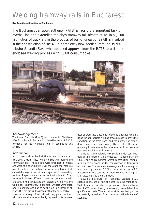# <span id="page-31-0"></span>Welding tramway rails in Bucharest

### **By: Ben Altemühl, editor of Svetsaren**

The Bucharest transport authority (RATB) is facing the important task of overhauling and extending the city's tramway rail infrastructure. In all, 100 kilometres of track are in the process of being renewed. ESAB is involved in the construction of line 41, a completely new section, through its distributor Scandio S.A., who obtained approval from the RATB to utilise the enclosed welding process with ESAB consumables.

![](_page_31_Picture_3.jpeg)

# Acknowledgement

We thank Dan Ilie (EWE) and Laurentiu Chiritescu (EWE) of Scandio SA. and Cristian Gheorghe of ESAB Romania for their valuable help in composing this article.

# Introduction

As in many cities behind the former iron curtain, Bucharest's tram lines were constructed during the communist era. The rail bars were produced in Russia and were of a poor quality. Over the years, the intensive use of the lines, in combination with the inferior steel, caused damage to the rails and repair work was a daily routine. Repairs were carried out with MMA. They were, and still are, difficult to perform, because the rails are sunk in the streets and the welder's visibility at the weld pool is hampered. In addition, welders were often poorly qualified and had to do the job in weather of all kinds. It is not difficult to imagine that the current RATB inherited a railway infrastructure in very poor condition, with innumerable worn or badly repaired spots. A great

deal of work has since been done by qualified welders using the appropriate welding procedures to improve the condition of the tram lines and the number of breakdowns has declined significantly. Nevertheless, the need gradually to modernise the lines in order to arrive at a permanent solution still remains.

Line 41 is a completely new section under construction, with a length of 16 kilometres. It is being built by CCCF, one of Romania's largest construction companies which specialises in the construction of tramways and railways. The switches, crossings and bends are prefabricated by one of CCCF's subcontractors, VAE Apcarom, whose contract includes connecting the prefabricated parts to the main track.

ESAB's distributor in Romania, Scandio S.A., suggested the use of the enclosed welding method to VAE Apcarom, for which approval was obtained from the RATB after having successfully completed the qualification tests. The actual work is now being done successfully by welders from the construction branch of Scandio.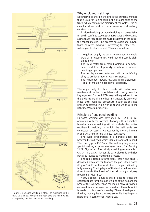![](_page_32_Picture_0.jpeg)

*Figure 1. Enclosed welding in steps, as explained in the text. 1a. and 1b.: Welding the root onto the rail foot. 1c. Completing the foot. 1d. Mould welding.* 

# Why enclosed welding?

Exothermic or thermit welding is the principal method that is used for joining rails in the straight parts of the track, which contain the majority of the welds. It is an established method, in both tramway and railway construction.

Enclosed welding, or mould welding, is more suitable for use in confined spaces such as switches and crossings, as the space required is not much greater than the size of the copper moulds. The process has additional advantages, however, making it interesting for other rail welding applications as well. They are as follows.

- It requires roughly the same time to deposit a mould weld as an exothermic weld, but the cost is eight times lower.
- The weld metal from mould welding is homogeneous and free of porosity, resulting in superior bending properties.
- The top layers are performed with a hard-facing alloy to produce superior wear resistance.
- The heat input is lower, resulting in less distortion.
- Repair of mould welded joints is possible.

The opportunity to obtain welds with extra wear resistance at the bends, switches and crossings was the key argument for the RATB to give the go-ahead to use the enclosed welding method. This naturally only took place after welding procedure qualifications had proven successful in delivering sound welds with the right mechanical properties.

# Principle of enclosed welding

Enclosed welding was developed by ESAB in cooperation with the Swedish Railways. It is a method based on manual welding with stick electrodes, unlike exothermic welding in which the rail ends are connected by casting. Consequently, the weld metal properties are different, as described above.

The weld preparation is a parallel-sided gap between the rail ends, which is filled from foot to head. The root gap is 15-17mm. The welding begins on a special backing strip made of glued sand, OK Backing 21.21 (Figure 1a.). The principal welding consumable is OK 74.78, a basic, high tensile basic electrode with slag behaviour tuned to match this process.

The gap is closed in three steps. Firstly, one bead is deposited onto each rail foot and the gap is then closed (Figure 1b). From the fourth bead, the gap is filled by fully weaving. The top layer of the foot is laid from two sides towards the heart of the rail using a zig-zag movement (Figure 1c).

Next, a copper mould is put in place to create the enclosed space for the mould welding of the web and the head of the rail. Spacers on the mould halves provide a certain distance between the mould and the rails, which is needed to dispose of excess slag. The enclosed space is filled by moving the arc in a square while dwelling for a short time in each corner (Figure 1d).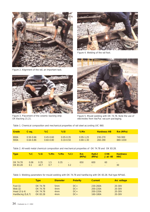![](_page_33_Picture_0.jpeg)

*Figure 2. Alignment of the rail, an important task.*

![](_page_33_Picture_2.jpeg)

*Figure 3. Placement of the ceramic backing strip OK Backing 21.21.*

![](_page_33_Picture_4.jpeg)

*Figure 4. Welding of the rail foot.*

![](_page_33_Picture_6.jpeg)

*Figure 5. Mould welding with OK 74.78. Note the use of electrodes from VacPac vacuum packaging.*

*Table 1. Chemical composition and mechanical properties of rail steel according UIC 860.*

| <b>Grade</b> | C-ea.         | % $C$         | %Si           | %Mn           | <b>Hardness HB</b> | Rm (MPa) |
|--------------|---------------|---------------|---------------|---------------|--------------------|----------|
| 800A         | $0.50 - 0.66$ | $0.45 - 0.60$ | $0.05 - 0.35$ | $0.95 - 1.25$ | -230-270           | 740-900  |
| 900A         | 0.64-0.86     | $0.60 - 0.80$ | $0.10 - 0.50$ | $0.80 - 1.30$ | $260 - 290$        | 880-1030 |

*Table 2. All-weld metal chemical composition and mechanical properties of OK 74.78 and OK 83.28.*

| <b>Type</b>          | $\%C$ | —%Si                                                     | %Mn %Mo | — %Cr | <b>Rm</b><br>(MPa) | Rp0.2 CVN<br>(MPa) Jat-40 HRC |            | <b>Hardness</b>                |
|----------------------|-------|----------------------------------------------------------|---------|-------|--------------------|-------------------------------|------------|--------------------------------|
| OK 74.78<br>OK 83.28 |       | $0.06$ $0.35$ $1.5$ $0.35$ -<br>$0.1 \t 0.7 \t 0.7 \t -$ |         | 3.2   | 650<br>$-7$        | 600<br>$\sim$                 | 60<br>$-7$ | $\overline{\phantom{a}}$<br>30 |

*Table 3. Welding parameters for mould welding with OK 74.78 and hardfacing with OK 83.28. Rail type NP4aS.*

|                    | <b>Type</b> | <b>Diameter</b> | <b>Polarity</b> | <b>Current</b> | <b>Arc voltage</b> |
|--------------------|-------------|-----------------|-----------------|----------------|--------------------|
| Foot $(1)$         | OK 74.78    | 5mm             | $DC+$           | 230-260A       | 20-30V             |
| Web $(2)$          | OK 74.78    | 4mm             | $DC+$           | 200-220A       | 20-30V             |
| Head $(3 & 4)$     | OK 74.78    | 4mm             | $DC+$           | 200-220A       | 20-30V             |
| Hardfacing (5,6,7) | OK 83.28    | 4 <sub>mm</sub> | $DC+$           | 160-180A       | 20-30V             |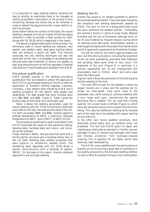It is important to keep welding without allowing the slag to solidify, so electrodes have to be changed as quickly as possible. Interruption of the process is time consuming, because the mould has to be removed in order to detach the slag and provide a clean weld to restart the process.

Some 6-8mm below the surface of the head, the mould welding is stopped, the mould is taken off and the slag is removed in order to provide a clean surface for hardfacing with OK 83.28, which is deposited in two layers.

The above is a general description of the process. The techniques used in mould welding are, however, very specific and welders really need good training before they can produce a sound rail weld. This training comprises not only welding techniques but also the alignment of the rails, a knowledge of pre-heating and the post-weld heat treatment of various rail grades, as well as grinding the joint to the final geometry. Detailed instructions on mould welding are available from ESAB.

#### Procedure qualification

ESAB assisted Scandio in the welding procedure qualification that was needed to obtain the approval of the RATB to use enclosed welding on line 41. Under the supervision of Scandio's welding engineer, Laurentiu Chiritescu, a few welders were trained by ESAB and a welding procedure for the specific steel grades was established. The steel grades that were included were UIC 860: 800A and 900A (Table 1). Table 2 gives the product data of the ESAB stick electrodes used.

Table 3 shows the welding parameters used for mould welding with OK 74.78, including the electrode sizes used for the foot, the web and the head of the rail. For both rail grades, 800A and 900A, Scandio applies a preheat temperature of 350°C, a maximum interpass temperature of 400°C, and a PWHT of 600°C/15 min.

The procedure qualification report submitted to the RATB comprised the results of dye–penetrant testing, bending tests, hardness tests and macro- and microstructural analyses.

These reveiled a defect- and porosity-free weld with a ferritic-perlitic structure and a hardness below that of the rail itself. Bending tests yielded properties that were superior to exothermic welded joints. The hardfacing layer deposited with OK 83.28 shows a bainitic micro-structure with a hardness of approx. 30HRC. On the basis of this report, Scandio obtained approval to use enclosed welding.

#### Welding line 41

Scandio has access to six welders qualified to perform the enclosed welding method. They have been trained by the company's own welding department, assisted by ESAB. The work on line 41 is being performed round the clock, whenever the weather permits . Fortunately, this summer's floods in Central Europe hardly affected Romania and the city of Bucharest, although work on rail 41 was hindered by frequent showers during which no welding could take place. Nevertheless, Scandio is making good progress with the project that started at the end of August and is expected to be finished by October.

The net arc time for one weld is approximately one hour, but the entire procedure, including the alignment of the rail ends, preheating, post-weld heat treatment and grinding, takes some three to four hours. The alignment of the joint (Figure 2) in particular is a precise, responsible job, as any misalignment will unavoidably lead to friction, shock and extra wear when the trams pass.

Figures 3 and 4 show the placement of the backing strip and the welding of the foot.

The most difficult part for the welders is when the copper moulds are in place and the welding can no longer be interrupted. They work close to the preheated rails, while having to continue welding with a very large weld pool, maintaining the special technique that is needed. The rail type that is being used for the curved tracks is NP4aS (Figure 5), which has a slot along the centre line to prevent the tram from tilting. This requires additional welding skills, because part of the head has to be welded with copper backing on one side only.

In the often very humid weather conditions, stick electrodes would easily pick up moisture when not protected. The fact that ESAB packs its repair and maintenance electrodes as standard in VacPac vacuum packages (Figure 5) ensures low-hydrogen weld metal and thereby protection from hydrogen-induced cracking. This is essential for rail steels, which have relatively high hardenability.

The RATB is very satisfied with the performance of Scandio on line 41 and has a great deal of confidence in the quality produced by the enclosed welding method. Its use on other Bucharest tramway lines is anticipated.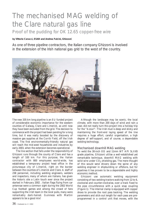# <span id="page-35-0"></span>The mechanised MAG welding of the Clare natural gas line

# Proof of the pudding for OK 12.65 copper-free wire

# **by Vittorio Carucci, ESAB and Andrea Fulcini, Ghizzoni**

As one of three pipeline contractors, the Italian company Ghizzoni is involved in the extension of the Irish national gas grid to the west of the country.

![](_page_35_Picture_4.jpeg)

The new 335 km long pipeline is an EU funded project of considerable economic importance for the western counties of Galway, Clare and Limerick, as until now they have been excluded from the grid. The decision to commence with the project had been pending for a long time, but it was really boosted by the discovery of massive gas supplies at the Corrib Field, off the Irish coast. The first environmentally-friendly natural gas will reach the mid-west households and industries by early 2003, when the extension becomes operational.

The line section that falls under the responsibility of Ghizzoni runs through the county of Clare and has a length of 100 km. For this purpose, the Italian contractor with 800 employees world-wide, has established a temporary project head office in the picturesque city of Limerick, right on the border between the counties of Limerick and Clare. A staff of 238 personnel, including welding engineers, welders and inspectors, many of whom are Italians, has given the historic site a Latin touch ever since the project started in February 2002 . Italian flags flying from car antennae were a common sight during the 2002 World Cup football games and among the crowd of fans supporting the Irish team in the local pubs, many were remarkably dark-haired. Guinness with Martini appears to be a good mix!

Although the landscape may be scenic, the local climate, with more than 200 days of wind and rain a year, did not really turn this project into a holiday trip for the "Azzuri". The Irish mud is deep and sticky and maintaining the front-end laying speed of the line requires a huge effort, careful organisation, a high degree of self-support, and of course, a dependable welding technology.

# Mechanised downhill MAG welding

To weld the 30-inch OD and 11mm WT API 5LX65 grade pipeline, Ghizzoni utilise a well-established yet remarkable technique, downhill MAG welding with solid wire under  $CO<sub>2</sub>$  shielding gas. The mere thought of this would send shivers down the spine of any welding engineer in shipbuilding or offshore, but for pipelines it has proven to be a dependable and highly economic method.

Ghizzoni use automatic welding equipment consisting of two welding tractors walking from 12 to 6, clockwise and counter-clockwise, over a track fixed to the pipe circumference with a quick snap coupling (Figure 1). The internal clamp is equipped with copper shoes to provide the root pass backing. The welding parameters and stick-out length for each pass are preprogrammed in a control unit that moves, with the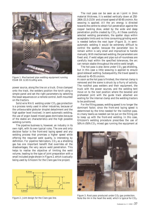![](_page_36_Picture_0.jpeg)

*Figure 1. Mechanised pipe welding equipment running ESAB OK 12.65 EcoMig wire.*

power source, along the line on a truck. Once clamped onto the track, the welders position the torch using a simple panel and set the right parameters by selecting the bead sequences on a remote control, both mounted on the tractors.

Solid wire MAG welding under  $CO<sub>2</sub>$  gas protection is a process rarely used in other industries, because of the unfavourable globular droplet detachment and the high spatter level involved. In semi-automatic welding, the use of argon based mixed gases dominates because of the stable arc characteristics and the high possible welding currents.

The pipeline business is, however, an industry in its own right, with its own typical rules. The one and only decisive factor is the front-end laying speed and any welding process that promises a higher speed while offering the required weld quality, is interesting by definition. For pipeline fabricators,  $CO<sub>2</sub>$  as a shielding gas has one important benefit that overrides all the disadvantages, the very secure weld penetration. This helps to realise the objective of limiting the weld volume, leading to the type of joint preparation with a small included angle shown in Figure 2, which is actually being used by Ghizzoni for the Clare gas line project.

![](_page_36_Figure_5.jpeg)

*Figure 2. Joint design for the Clare gas line.*

The root pass can be seen as an I-joint in 2mm material thickness. It is welded vertically down at 250- 280A/21.5-23.5V and a travel speed of 60-85 cm/min. No weaving is applied. All the arc energy is directed towards the centre to obtain full penetration against the copper backing shoe, aided by the wide and deep penetration profile created by  $CO<sub>2</sub>$ . At these carefully selected welding parameters, the spatter stays within acceptable limits and no time consuming grinding work is needed before the next layer (Figure 3). In semiautomatic welding it would be extremely difficult to control the spatter, because the parameter box to remain within is very small and impractical to handle manually. With mechanised welding, the parameters are fixed and, if weld edges and pipe out-of-roundness are carefully kept within the specified tolerances, the arc can remain stable throughout the entire weld length.

The hot pass is also done under  $CO<sub>2</sub>$  gas shielding, but in this case a little weaving is applied to ensure good sidewall wetting. Subsequently, the travel speed is reduced to 45-55 cm/min.

As soon as the hot pass is finished, the internal clamp is removed and the scene is struck by a flurry of activity. The root/hot pass welders and their equipment, the truck with the power sources, and the welding tent move on to the next position where the beveled and preheated joint with the guide track attached are waiting for the internal clamp and the welding tractors to be positioned.

For the filling passes, welding speed is no longer the dominant factor, since the front-end laying speed is determined by the time needed for the root/hot pass. As many teams as needed can be put on the filling job to keep up with the front-end welding. In this case, Ghizzoni's welding procedure prescribes the use of  $50\%$ Ar/50%CO<sub>2</sub> mixed gas running the equipment at

![](_page_36_Picture_11.jpeg)

*Figure 3. Root pass produced under CO2 gas protection. Note the rim in the heart the weld, which is typical for CO2.*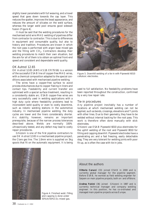slightly lower parameters with full weaving, and a travel speed that goes down towards the cap layer. This reduces the spatter, improves the bead appearance, and reduces the amount of silicates on the weld surface, whereas the larger weld pool ensures good sidewall fusion (Figure 4).

It must be said that the welding procedures for the mechanised solid wire MAG welding of pipelines differ from contractor to contractor. This is due to differences in equipment and consumable quality, but also to history and tradition. Procedures are known in which the root pass is performed with argon base mixed gas and the filling with  $CO<sub>2</sub>$ . Contractors develop their welding procedures to match their own situation, but the aim for all of them is to obtain an optimal front-end speed and consistent and dependable weld quality.

#### OK Autrod 12.65

OK Autrod 12.65 (AWS A5.18: ER70-S6) is a version of the successful ESAB line of copper-free MAG wires, with a chemical composition adapted to the special conditions associated with mechanised pipeline welding.

The wires have a copper-free surface to avoid process disturbances due to copper flaking in liners and contact tips. Feedability and current transfer are optimised with a special surface treatment, resulting in a consistently stable arc. ESAB copper-free wires are very successfully used in welding applications with a high duty cycle where feedability problems lead to inconsistent weld quality or even to costly downtime, such as robotic welding stations in the automotive industry. In mechanised pipeline welding, the duty cycles are lower and the liners considerably shorter. Arc stability, however, remains an important prerequisite, because of the narrow process tolerances described above. Welds are normally 100% ultrasonically tested, and any defect may lead to costly repair procedures.

Ghizzoni is one of the first pipeline contractors to use OK Autrod 12.65 in a mechanised pipeline project, the Clare gas line. The 1.0mm wire is supplied on 5kg spools that fit on the automatic equipment. It is being

![](_page_37_Picture_6.jpeg)

*Figure 5. Downhill welding of a tie-in with Pipeweld 6010 cellulosic electrodes.*

used to full satisfaction. No feedability problems have been reported throughout the construction, confirmed by a very low repair rate.

#### Tie-in procedures

Any pipeline project inevitably has a number of locations at which mechanised welding can not be applied, such as bends, crossings, elevations and T-joints with other lines. Due to their geometry, they have to be welded without internal backing for the root pass. This work is therefore often done manually with stick electrodes.

Ghizzoni use ESAB Pipeweld 6010 plus electrodes for the uphill welding of the root and Pipeweld 8010 for filling and capping downhill. Pipeweld electrodes have a penetrating arc and a fast freezing, easily detachable slag. They are very tolerant for welding joints with poor fit-up, as is often the case with tie-in jobs.

![](_page_37_Picture_12.jpeg)

*Figure 4. Finished weld. Filling and capping is done under 50%Ar/50%CO2 mixed gas.*

# *About the authors*

**Vittorio Carucci** (33) joined ESAB in 2000 and is currently global manager for the pipeline segment. Before ESAB, he worked as field welding engineer for Saipem on main pipeline projects, both on- and offshore.

**Andrea Fulcini** (36) joined Ghizzoni in 1987 and is currently technical manager and company welding engineer. In this position, he has co-ordinated and managed main pipeline projects across Europe.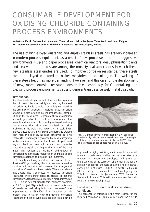# <span id="page-38-0"></span>CONSUMABLE DEVELOPMENT FOR OXIDISING CHLORIDE CONTAINING PROCESS ENVIRONMENTS

**Iva Betova, Martin Bojinov, Petri Kinnunen, Timo Laitinen, Pekka Pohjanne, Timo Saario and Martti Vilpas VTT Technical Research Centre of Finland, VTT Industrial Systems, Espoo, Finland**

The use of high-alloyed austenitic and duplex stainless steels has steadily increased in modern process equipment, as a result of new processes and more aggressive environments. Pulp and paper processes, chemical reactors, desulphurisation plants and sea water structures are among the most typical applications in which these new stainless steel grades are used. To improve corrosion resistance, these steels are more alloyed in chromium, nickel, molybdenum and nitrogen. The welding of these steels becomes more demanding, however, and this calls for the development of new, more corrosion resistant consumables, especially for Cl-containing and oxidising process environments causing general transpassive weld metal dissolution.

# **Introduction**

Stainless steels structures and the welded joints in them in particular are mainly corroded by localised corrosion mechanisms which are rapidly enhanced in the presence of chlorides. In welded joints, corrosion attacks are also affected by inhomogeneous composition in the weld metal (segregation), weld oxidation and weld geometrical effects. For these reasons, it has been found necessary to use high-alloyed welding consumables that eliminate localised corrosion problems in the weld metal region. As a result, highalloyed austenitic stainless steels are normally welded with high Mo-alloyed, Ni-base consumables. This enables the inhomogeneity caused by weld segregation to be eliminated because the lower alloyed weld regions (dendrite cores) will have a corrosion resistance that is equal to or higher than that of the base metal. This reduces the nucleation and growth of corrosion pits in the weld metal region and the localised corrosion resistance of a weld is thus improved.

In highly oxidising conditions such as in chlorine dioxide (ClO2) bleaching, there is, however, a need to consider not only localised corrosion but also general corrosion of welds and base metals. There is evidence that a weld that is optimised for localised corrosion resistance shows insufficient resistance to general corrosion via transpassive dissolution mechanisms, see Fig. 1. To find new solutions to this "balance" problem, an R&D project "Optimisation of corrosion resistance of welds for oxidising industrial processes" was implemented in 1999-2001. The objective of this project was to clarify how the general corrosion resistance of high-alloyed stainless steel welds can be

![](_page_38_Picture_6.jpeg)

*Fig. 1. General corrosion propagating in a Ni-base site weld of a high alloyed (6%Mo) stainless steel. The sample is taken from a mixer to tower pipeline of D1/P1-stage. The estimated corrosion rate has been 0.4 mm/a.*

improved in highly oxidising environments, while still maintaining adequate localised corrosion resistance. A mathematical model was developed to improve our understanding of the corrosion phenomena and for the selection of appropriate weld alloying. The project was carried out jointly with ESAB AB, Andritz Oy, Kemira Chemicals Oy, the National Technology Agency, the Tohoku University in Japan and VTT Industrial Systems in Finland. This article summarises the main results of the research project.

# Localised corrosion of welds in oxidising conditions

The presence of chlorides is the main reason for the localised corrosion of stainless steels and their welds.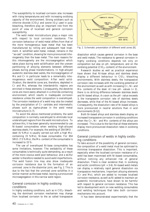The susceptibility to localised corrosion also increases with rising temperatures and with increasing oxidising capacity of the environment. Strong oxidisers such as chlorine dioxide  $(CIO<sub>2</sub>)$  and ozone  $(O<sub>3</sub>)$  used in pulp bleaching, therefore play an important role from the point of view of localised and general corrosion susceptibility.

The weld metal microstructure plays a major role with respect to local corrosion resistance. The corrosion behaviour of weld metal differs from that of the more homogeneous base metal that has been manufactured by rolling and subsequent heat treatment. A solidified weld metal, instead, remains in the "as-cast" condition, showing far more pronounced inhomogeneity than the base metal. The main reasons for this inhomogeneity are the microsegregation which takes place during weld solidification and the uneven partitioning of alloying elements between different phases during phase transformations. In high-alloyed austenitic stainless steel welds, the microsegregation of Mo and Cr in particular leads to a remarkably inhomogeneous weld composition. After weld solidification, the dendrite cores are, therefore, depleted in Cr and Mo, whereas the interdendritic regions are enriched in these elements. Consequently, the dendrite cores are more easily attacked in a chloride-containing environment, which results in inadequate corrosion resistance unless the weld composition is overalloyed. The corrosion resistance of a weld may also be created by the precipitation of Cr- carbides and intermetallic phases such as sigma-phase in the weld metal microstructure [1-7].

To avoid the above mentioned problems, the weld composition is normally overalloyed to eliminate local underalloyed regions from the weld microstructure. To achieve this, it has been generally recommended to use Ni-based consumables when welding high-alloyed stainless steels. For example, the welding of 254 SMO steel (6 %Mo) is usually carried out with a high Mocontaining (9 %Mo), Ni-base consumable. For 654 SMO (7.5 %Mo), the Mo- content of the consumable is increased to 15 %.

The use of overalloyed Ni-base consumables has some limitations, however. The weldability of these consumables is technically quite demanding, as a result of the more viscous weld pool behaviour, and a skilful welder is therefore needed to avoid weld imperfections. The weld fusion line may also show inadequate corrosion resistance due to the formation of an unmixed zone in the dissimilar joint, see Fig. 2. This is due to the fact that the unmixed zone solidifies in a similar manner as the base metal, leaving a pronounced microsegregation in this narrow weld region.

### General corrosion in highly oxidising conditions

In highly oxidising conditions, such as in  $ClO<sub>2</sub>$ - bleaching, the dominant corrosion mechanism may change from localised corrosion to the so called transpassive

![](_page_39_Figure_6.jpeg)

*Fig. 2. Schematic presentation of different weld zones [8].*

dissolution which causes general corrosion in the base and weld metals. The resistance to general corrosion in highly oxidising conditions depends not only on composition but also on pH, temperature, and on the oxidising potential  $\left(\text{ClO}_2\right)$ - content) of the environment.

Research studies as well as practical experience have shown that Ni-base alloys and stainless steels display a different behaviour in  $ClO<sub>2</sub>$  -bleaching environments. With stainless steels, the transpassive corrosion rate increases with the oxidising potential of the environment as well as with increasing Cr-, Ni- and Mo- contents of the steel. At low  $pH$ - values  $( $2$ ),$ there is no striking difference between stainless steels and Ni-based alloys. As soon as the pH- value exceeds 3, the transpassive corrosion rate of stainless steels decreases, while that of the Ni-based alloys increases. Consequently, the dissolution rate of Ni-based alloys is more pronounced in neutral solutions than in acid environments [9-12].

Both Ni-based alloys and stainless steels display an increased transpassive corrosion in oxidising conditions when the Cr-, Ni- and Mo- contents of the alloys are increased. This is due to the fact that all these elements display more pronounced dissolution rates in oxidising conditions.

# General corrosion of welds in highly oxidising conditions

To take account of the possibility of general corrosion, the composition of a weld metal must be optimised to minimise transpassive dissolution. This is important, especially when the localised corrosion resistance of a weld has been maximised with Ni-based consumables, without noticing any enhanced risk of general dissolution. There is clear evidence that, in oxidising and acidic conditions ( $pH = 3-6$ ), Ni-based weld metals can display a relatively rapid general dissolution via transpassive mechanisms. Important alloying elements (Cr and Mo), which are added to increase localised corrosion resistance, as well as Ni added to maintain an austenitic microstructure, have shown to be harmful with respect to general corrosion resistance. This has led to development work on new welding consumables and welding techniques that take both corrosion mechanisms into account.

It has been demonstrated experimentally that the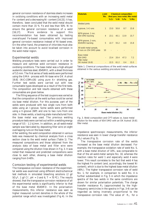general corrosion resistance of stainless steels increases in oxidising conditions with an increasing weld metal Fe- content and a decreasing Ni- content [14,15]. It has, therefore, been concluded that the weld metal should contain more than 15 % Fe and less than 50% Ni to ensure the general corrosion resistance of a weld [16,17]. More evidence to support this recommendation has been obtained by testing overalloyed Fe-based consumables with improved general corrosion resistance instead of Ni-based ones. On the other hand, the presence of chlorides must also be taken into account to avoid localised corrosion in the weld metal region.

#### Experimental welds

Welding procedure tests were carried out in order to measure and optimise weld corrosion resistance in oxidising conditions. The base metal was a high-alloyed austenitic stainless steel, 654SMO, with a sheet thickness of 5.5 mm. The first series of tests welds were performed using the GMA- process with Ni-base wire OK Autrod 19.81 (NiCr23Mo16) using pure Ar shielding gas. Further test welds were carried out with new consumable types developed as a result of the first tests. The composition and test results obtained with these consumables are given below.

The filling sequence of the test coupons was varied so that the composition at the weld surface could be varied via base metal dilution. For this purpose, part of the welds were produced with two single runs from both sides using an I-groove. Some welds were performed using a V-groove (60º) and one to two runs from one side. In these welds, a backing plate manufactured from the base metal was used. The previous welding procedure tests were carried out within a welding energy range of 0.5 - 1.1 kJ/mm. In addition, an all-weld-metal sample was fabricated by depositing filler wire on eight overlapping runs on the base metal.

After welding, the weld composition obtained in various tests was measured by chemical analysis from a cross section close to the weld metal surface (Table 1). The measured compositions and those obtained from the analysis data of base metal and filler wire were compared using the dilution lines shown in Fig. 3. It was noted that measured and predicted compositions were close to each other, showing a base metal dilution ranging from 0-40%.

#### Corrosion testing of experimental welds

The transpassive corrosion resistance of the experimental welds was examined using different electrochemical test methods in simulated bleaching solutions (2 g/l SO<sub>4</sub><sup>2</sup>-, 1 g/l Cl<sup>-</sup>, pH = 3 and 6, T = 70 °C). The results showed, that the transpassive corrosion resistance of all the experimental welds is significantly inferior to that of the base metal 654SMO. In the polarisation measurements, this inferior resistance was seen as higher measured current densities in the whole of the potential range which was investigated (Fig 4). In the

| <b>Materials</b>                                  | <b>Joint</b><br>No. | <b>Chemical composition</b><br>(final pass, base metal, filler metal) |      |             |      |  |  |  |
|---------------------------------------------------|---------------------|-----------------------------------------------------------------------|------|-------------|------|--|--|--|
|                                                   |                     | %cr                                                                   |      | $%Ni$ $%Fe$ | %Mo  |  |  |  |
| Welded joints                                     |                     |                                                                       |      |             |      |  |  |  |
| $l$ -groove, $1+1$ runs                           | 1                   | 23.0                                                                  | 50.8 | 8.7         | 15.8 |  |  |  |
| 60°V-groove, 1 run,<br>654 SMO backing            | $\overline{4}$      | 23.1                                                                  | 45.1 | 13.9        | 15.7 |  |  |  |
| 60°V-groove, 2 runs,<br>654SMO backing            | 5                   | 227                                                                   | 55.2 | 4.9         | 15.8 |  |  |  |
| All-weld-metal sample,<br>8 runs on 254 SMO plate | 10                  |                                                                       |      |             |      |  |  |  |
| Base metal<br>654 SMO<br>Filler metal             |                     | 23.4                                                                  | 20.4 | 47.3        | 7.2  |  |  |  |
| OK Autrod 19.81                                   |                     | 22.5                                                                  | 61.2 | 0.4         | 15.5 |  |  |  |

*Table 1. Chemical compositions of the weld metal surfaces obtained in the various welding procedure tests.*

![](_page_40_Figure_9.jpeg)

*Fig. 3. Weld composition and CPT-values vs. base metal dilution for the welds of 654 SMO with an OK Autrod 19.81 filler metal.*

impedance spectroscopic measurements, the inferior resistance was seen in lower charge transfer resistance  $(R_t)$  values (Fig. 5).

The transpassive corrosion rate of the welds increased as the base metal dilution decreased. For example, the transpassive oxidation rate of weld No. 5, with a base metal dilution of 10%, was comparable to that of the all-weld-metal sample No. 10, whereas the reaction rates for weld 1 and especially weld 4 were lower. This result correlates to the fact that weld 4 has the highest Fe content (and, accordingly, the lowest Ni content), which is due to the highest base metal dilution (40%). The higher transpassive corrosion rate of weld No. 1, for example, in comparison to weld No. 4 is further substantiated in Fig. 5 in which the impedance spectra of the two welds in the same conditions are shown for similar polarisation potentials. The charge transfer resistance  $R_t$  (approximated by the highfrequency semicircles in the spectra in Figs. 3-4) can be regarded as being inversely proportional to the transpassive corrosion rate. The value of  $R_t$  for a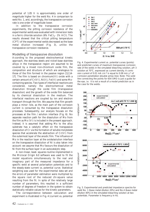potential of 1.05 V is approximately one order of magnitude higher for the weld No. 4 in comparison to weld No. 1, and, accordingly, the transpassive corrosion rate is one order of magnitude lower.

In addition to the transpassive corrosion experiments, the pitting corrosion resistance of the experimental welds was evaluated with immersion tests in a ferric chloride solution ( $6\%$  FeCl<sub>3</sub> -  $1\%$  HCl). The results showed that the critical pitting temperature (CPT) of the experimental welds decreased as the base metal dilution increased (Fig. 3), unlike the transpassive corrosion resistance.

#### Modelling of transpassive dissolution

According to the proposed electrochemical kinetic approach, the stainless steels and nickel-base stainless alloys in the transpassive region are assumed to be covered by a mixed iron-chromium oxide film, the composition and structure of which are analogous to those of the film formed in the passive region [12,14- 17]. The film is based on chromium(III) oxide with a certain amount of Cr(VI), Ni(II), Fe(III) and some Mocontaining species. Two types of interfacial reactions are considered, namely the electrochemical metal dissolution through the oxide film (transpassive dissolution) and the growth of the oxide film balanced by its chemical dissolution in the medium. The interfacial reactions are coupled by ion and electron transport through the film. We assume that film growth plays a minor role, as the main part of the corrosion current is consumed by the transpassive dissolution processes. Subsequently, our analysis focuses on the processes at the film / solution interface (Fig. 6). No separate reaction path for the dissolution of Mo from the film as Mo (VI) is included in the present approach. Instead, it is assumed that adding Mo to the alloy substrate has a catalytic effect on the transpassive dissolution of Cr via the formation of soluble molybdate species that accelerate the abstraction of Cr(VI) from the outermost layer of the anodic film. The influence of Mo in the reaction layer at the oxide/solution interface on the transpassive dissolution of Ni is also taken into account: we assume that Mo favours the dissolution of Ni from the surface layer in an autocatalytic step.

A non-linear, least- squares routine implemented in the Microcal Origin 6.0 software was used to fit the model equations simultaneously to the real and imaginary part of the measured impedance for a specific weld at several polarisation potentials and to the steady-state current vs. potential curve. Statistical weighting was used for the experimental data set and the errors of parameter estimation were multiplied by the square root of the reduced chi-square value resulting from the fit. In spite of the relatively large number of parameters, this resulted in a sufficient number of degrees of freedom in the system to obtain statistically reliable values for the kinetic parameters.

The correspondence between calculation and experiment is illustrated in Fig. 4 (current vs. potential

![](_page_41_Figure_6.jpeg)

*Fig. 4. Experimental current vs. potential curves (points) and predicted curves of maximum transpassive corrosion rate of the welds in the simulated bleaching solution, pH 3 solution at 70°C, expressed as current density. A corrosion current of 0.01 mA cm-2 is equal to 0.08 mm y-1 of corrosion penetration (double arrow line). Note: The solid line connecting the points for 654 SMO is just a guide for the eye, i.e. it is not a result of a model prediction as in the case for the welds.*

![](_page_41_Figure_8.jpeg)

*Fig. 5. Experimental and predicted impedance spectra for weld No. 1 (base metal dilution 20%) and No.4 (base metal dilution 40%) in the simulated bleaching solution at two potentials. Parameter is frequency in Hz.*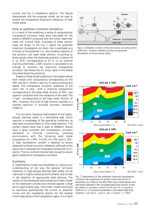curves) and Fig. 5 (impedance spectra). The figures demonstrate that the proposed model can be used to predict the transpassive dissolution behaviour of high nickel welds.

### How to optimise corrosion resistance

As a result of the modelling, a series of computational transpassive corrosion maps were calculated for the welds of 654SMO produced with the nickel- base filler metal OK Autrod 19.81. Examples of these contour maps are shown in the Fig. 7, where the predicted maximum transpassive corrosion rate is expressed as a function of the potential (i.e., the oxidative capacity of the solution) and base metal dilution. According to these results, when the electrode potential is below 0.9 V vs. SHE (corresponding to 0.7 V vs. an external AgCl/Ag electrode), a 30% dilution is calculated to be enough to maintain the maximum transpassive corrosion rate below the 0.1 mm/y value in the tested simulated bleaching solutions.

Based on these model predictions, two experimental filler metals with compositions corresponding to the 30% and 50 % dilution (see Fig. 3) were produced and tested. The transpassive corrosion resistance of the weld "No. 8 new", with a chemical composition corresponding to the base metal dilution of 50%, was superior compared with the resistance of the weld "No 7 new", corresponding to the base metal dilution of 30%. However, this kind of high dilution resulted in a marked reduction in localised corrosion resistance (Table 2).

The corrosion resistance optimisation of the highlyalloyed stainless welds is a demanding task, which requires a knowledge of the operating conditions, as they have a marked effect on filler metal selection. The current results show that a weld of 654SMO should have a good localised and transpassive corrosion resistance in chloride- containing, oxidising environments with the following weld metal composition: Ni < 50%, Fe 15%, Mo 13% and Cr 22%. A high molybdenum content is essential to ensure adequate localised corrosion resistance, although at the same time it catalyses the transpassive dissolution of Cr and Ni. The iron content must be high enough to ensure good resistance to transpassive corrosion.

#### Summary

A mathematical model was developed to improve our understanding of the way the general corrosion resistance of high-alloyed stainless steel welds can be improved in highly oxidising environments, and to help in the selection of appropriate weld alloying. The validity of the developed electrochemical kinetic model of the dissolution process was checked against a large set of experimental data. The kinetic model was found to reproduce quantitatively the current vs. potential curves and the impedance spectra for the studied nickel-base alloys in the transpassive region. As a result

![](_page_42_Figure_7.jpeg)

*Fig.6. A detailed scheme of the processes occurring at the oxide film / solution interface during transpassive dissolution of nickel-based alloys.*

![](_page_42_Figure_9.jpeg)

*Fig. 7. Dependence of the predicted maximum transpassive corrosion rate (expressed as partial current density for Cr dissolution as Cr(VI)) on the 654 SMO base metal dilution and electrode potential in the simulated bleaching solution at two pH values. A corrosion current of 0.01 mA cm-2 is equal to 0.08 mm y-1 of corrosion penetration. (Simulated bleaching solutions, 2 g/l SO42-, 1 g/l Cl-, pH = 3 and 6, T = 70ºC).*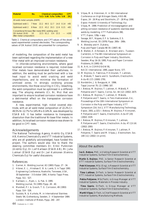| No. |                                           |                              |  |                                                      | <b>CPT</b><br>[°C]                                                                                                                                                                       |
|-----|-------------------------------------------|------------------------------|--|------------------------------------------------------|------------------------------------------------------------------------------------------------------------------------------------------------------------------------------------------|
|     |                                           |                              |  |                                                      |                                                                                                                                                                                          |
|     |                                           |                              |  |                                                      | - > 95                                                                                                                                                                                   |
|     |                                           |                              |  |                                                      | <65                                                                                                                                                                                      |
|     |                                           |                              |  |                                                      |                                                                                                                                                                                          |
|     | $\sqrt{10}$<br>(filler metal composition) | All-weld-metal samples (AWM) |  | Conventional Ni-base filler metal (MIG welding wire) | <b>Chemical composition</b><br>%Cr %Ni %Fe %Mo %N<br>Optimised weld 1 7 New 22.2 49.5 12.7 14.0 0.14<br>Optimised weld 2 8 New 22.5 43.2 19.3 12.6 0.21<br>$22.5$ 61.2 0.4 15.5 --- >100 |

*Table 2. Chemical compositions and CPT-values of the developed experimental covered electrodes. The corresponding values of OK Autrod 19.81 are presented for comparison.*

of modelling, the composition of the weld metal has been optimised regarding the implementation of a new filler metal with an improved corrosion resistance.

In chloride-containing environments, where good localised corrosion resistance is required, nickel-base filler metals have demonstrated their usefulness. In addition, the welding must be performed with a low heat input to avoid weld cracking and weld imperfections, and to minimise the formation of unmixed zones. In strongly oxidising process environments, like those occurring in  $ClO<sub>2</sub>$ - bleaching, the weld composition must be optimised in a different way. The alloying elements (Cr, Ni, Mo) that are important to ensure localised corrosion resistance have a detrimental effect on the transpassive corrosion resistance.

A new, experimental, high- nickel covered electrode, with an all weld metal composition of 22.2%Cr-49.5%Ni-12.7%Fe-14%Mo-0.14%N, was developed by ESAB AB. It has better resistance to transpassive dissolution than the traditional Ni-base filler metals. In addition, its localised corrosion resistance was shown to be good in CPT- tests.

#### Acknowledgements

The National Technology Agency, Andritz Oy, ESAB AB, Kemira Chemicals Oy and VTT Industrial Systems, who are all gratefully acknowledged, have funded this project. The authors would also like to thank the steering committee members Dr. Erkki Pulkkinen (Andritz Oy), Dr. Leif Karlsson (ESAB AB), Mr. Juha Lukkari (ESAB Oy) and Dr. Jari Kukkonen (Kemira Chemicals Oy) for useful discussions.

#### References

- 1. Garner, A. Welding Journal, 62 (1983) Pppp. 27 34.
- 2. Hibner, E. L., Hinshaw E. B. & Lamb, S. in Tappi 1991 Engineering Conference, Nashville, Tennesee, USA, 30 September - 3 October 1991. Atlanta: Tappi Press. Pppp. 511 - 527.
- 3. Karlsson, L., Ryen, L. & Pak, S. 1995. Welding Journal, 74 (1995) Pppp. 28 - 40.
- 4. Marshall, P. I. & Gooch, T. G. Corrosion, 49 (1993) Pppp. 514 - 526.
- 5. Suutala, N. & Kurkela, M. in International Stainless Steels '84, Gothenburg, Sweden, 3 - 4 September 1984. London: Institute of Metals. Pppp. 240 - 247.
- 6. Vilpas, M. & Hänninen, H. in 5th International Conference on High Nitrogen Steels, HNS-98. Espoo, 24 - 26 May and Stockholm, 27 - 28 May 1998. Espoo: Helsinki University of Technology. 6 p.
- 7. Vilpas, M. 1999. Prediction of microsegregation and pitting corrosion resistance of austenitic stainless steel welds by modelling. VTT Publications 390, VTT, Espoo,  $139p + app$ .
- 8. Savage, W.F., Nippes, E.F. & Szekeres, E.S. Welding Journal, 55 (1976) Pppp. 260s - 268s.
- 9. A. Wensley and H. Dykstra, Pulp and Paper Canada 98 (9) (1997) 40.
- 10. B. Wallen, E. Alfonsson, A. Brorsson and L. Tuveson-Carlström, in The 8th International Symposium on Corrosion in Pulp and Paper Industry, Stockholm, Sweden, May 16-19, 1995, Pulp and Paper Corrosion Problems, 8 (1995) 65.
- 11. N. Arlt, in CORROSION'95, NACE International, 1995, paper Nono. 577.
- 12. M. Bojinov, G. Fabricius, P. Kinnunen, T. Laitinen, K. Mäkelä, T. Saario and G. Sundholm, Electrochim. Acta 45 (17) (2000) 2791.
- 13. Nordström, J. & Bergquist, A. 1996. Tappi Journal 79, (2) (1996) 187.
- 14. I. Betova, M. Bojinov, T. Laitinen, K. Mäkelä, P. Pohjanne and T. Saario, Corros. Sci. 44 (12) (2002) 2675
- 15. I. Betova, M. Bojinov, T. Laitinen, K. Mäkelä, P. Pohjanne and T. Saario, in Tero Hakkarainen, Ed., Proceedings of the 10th International Symposium on Corrosion in the Pulp and Paper Industry, VTT Symposium 214, Vol.1, VTT Manufacturing Technology, Espoo, 2001, p.323; I. Betova, M. Bojinov, P. Kinnunen, P. Pohjanne and T. Saario, Electrochim. Acta 47 (20) (2002) 3335
- 16. I. Betova, M. Bojinov, P. Kinnunen, T. Laitinen, P. Pohjanne and T. Saario, Electrochim. Acta, 47 (13-14) (2002) 2093.
- 17. I. Betova, M. Bojinov, P. Kinnunen, T. Laitinen, P. Pohjanne, T. Saario and M. Vilpas, J. Electrochem. Soc. 149 (11) (2002) (in print).

### *About the authors*

**Iva G. Betova**, PhD, is Visiting Research Scientist at VTT Industrial Systems, Surface Film Electrochemistry.

**Martin S. Bojinov**, PhD, is Senior Research Scientist at VTT Industrial Systems, Surface Film Electrochemistry.

**Petri Kinnunen**, MSc (Eng), is Research Scientist at VTT Industrial Systems, Surface Film Electrochemistry.

**Timo Laitinen**, DrTech, is Senior Research Scientist at VTT Industrial Systems, Surface Film Electrochemistry.

**Pekka Pohjanne**, MSc(Tech), is Group Manager at VTT Industrial Systems, Materials in Process Industry.

**Timo Saario**, DrTech, is Group Manager at VTT Industrial Systems, Surface Film Electrochemistry.

**Martti Vilpas**, DrTech, is Chief Research Scientist at VTT Industrial Systems, Manufacturing Methods.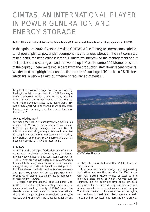# <span id="page-44-0"></span>CIMTAS, AN INTERNATIONAL PLAYER IN POWER GENERATION AND ENERGY STORAGE

#### **By Ben Altemühl, editor of Svetsaren, Ercan Kaplan, Zeki Yazici and Baran Burat, welding engineers at CIMTAS**

In the spring of 2002, Svetsaren visited CIMTAS AS in Turkey, an international fabricator of power plants, power plant components and energy storage. The visit consisted of two parts, the head office in Istanbul, where we interviewed the management about their policies and strategies, and the workshop in Gemlik, some 200 kilometres south of the capital, where we talked in detail with the production staff about recent projects. We decided to highlight the construction on site of two large LNG tanks in 9%Ni steel, which fits in very well with our theme of "advanced materials".

In spite of its success, the project was overshadowed by the tragic death in a car accident of our ESAB colleague Stefan Jakobsson, while he was on duty, assisting CIMTAS with the establishment of the WPSes. CIMTAS management asked us to quote them. "He was a joyful, hard working friend and we deeply share the sorrow of his family and other people that have known him."

#### Acknowledgement

We thank the CIMTAS management for making this visit possible. We wish to extend special thanks to Nuri Bayezid, purchasing manager, and Ali Berkel, international marketing manager. We would also like to compliment our ESAB representative in Turkey, Erik Sterken, on the constructive partnership that has been built up with CIMTAS in recent years.

#### CIMTAS

CIMTAS is the principal fabrication unit of ENKA Construction and Industry Company Inc., the largest privately owned international contracting company in Turkey. It constructs anything from single components to complete turn-key installations for power stations, energy storage, petrochemical plants and civil projects, but the nucleus of the factory output is pressure vessels and gas tanks, power and process pipe spools and cooling water piping, plus an increasing number of conical windmill towers.

Located near international deep sea ports, with 41,000m2 of indoor fabrication shop space and an annual steel handling capacity of 25,000 tonnes, the Gemlik works is well placed to serve international clients with larger projects. It employs some 1,000 workers and 75 engineers and, since its establishment

![](_page_44_Picture_9.jpeg)

*CIMTAS Gemlik works.*

in 1979, it has fabricated more than 250,000 tonnes of steel products.

The services include design and engineering, fabrication and erection on site. In 2001 alone, CIMTAS erected 75,000 tonnes of steel at nine individual sites, many of which involved turn-key contracts. The on-site activities comprise petrochemical and power plants, pump and compressor stations, tank farms, cement plants, pipelines and steel bridges. Traditional markets include countries in the region, such as Russia, Kazakhstan, Saudi Arabia, Kuwait, Jordan and Turkey itself, but more and more projects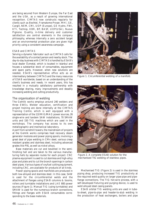are being secured from Western Europe, the Far East and the USA, as a result of growing international recognition. CIMTAS now constructs regularly for clients such as Bechtel, Framatome-Proser, MHI, GE, Cargill, NEM, CMI, UOP (Europe), GE Hydro, FWI, KTI, Technip, KBR, BP, BASF, UOP(USA), Nuovo Pignone. Quality, in-time delivery and customer satisfaction are central elements in the company philosophy, whereas internally a zero accident target and an environmental protection plan are given high priority using a consistent awareness campaign.

#### ESAB and CIMTAS

Serving a dynamic fabricator such as CIMTAS calls for the availability of a contact person and nearby stock. The day-to-day business with CIMTAS is handled by ESAB's local dealer Özmetal, which is located in Istanbul and houses a substantial stock of consumables, equipment and spare parts. However, when new solutions are needed, ESAB's representative office acts as an intermediary between CIMTAS and the many resources of ESAB worldwide, based on an understanding of the client's business and needs. In recent years, this has resulted in a mutually satisfactory partnership with knowledge sharing, many improvements and steadily increasing welding and cutting productivity.

#### The organisation of welding

The Gemlik works employs around 240 welders and three EWEs. Welder education, certification and project training are done internally at the CIMTAS Training Centre, which is well equipped with a representation of the 110 MIG/MAG power sources, 26 single-wire and tandem SAW installations, 70 SMAW units and 150 TIG machines which are used in the workshops. The company has access to its own metallographic and mechanical laboratory.

Apart from windmill towers, the mainstream of projects at the Gemlik works comprises heat recovery steam generator modules and power piping spools, involving a great deal of pipe welding in CMn steel, various creep resistant grades and stainless steel, including advanced grades like P91, as well as nickel alloys.

Base materials are cut and bevelled in the semifinishing hall and are taken to the various manufacturing halls by separate routes for each project. CNC plasma equipment is used to cut stainless and high-alloy pipe and plate and to cut the branch openings in carbon steel pipes. Various types of oxyfuel cutting equipment, including CNC, are available for products of all kinds.

Power piping spools and manifolds are produced in both low-alloyed and stainless steel. In this case, SAW is used for the circumferential welds and the attachment of flanges using ESAB columns & booms, rollers and turntable installations and LAE 800 power sources (Figure 1). Manual TIG (using turntables) and SMAW is used for the numerous branch connections, fittings and flanges with ESAB consumables corresponding to the base materials.

![](_page_45_Picture_8.jpeg)

*Figure 1. Circumferential welding of a manifold.*

![](_page_45_Picture_10.jpeg)

*Figure 2. A complete ESAB solution for the mechanised TIG welding of stainless pipes.*

Mechanised TIG (Figure 2) is used in the stainless piping shop, producing increased TIG productivity at the required weld quality on larger pipe-pipe and pipeflange connections. The TIG hot-wire process, with a self-developed fixturing and purging device, is used to weld alloyed steel casing panels.

ESAB orbital TIG welding units are used in tubeto-sheet, pipe-to-pipe and header-to-stub welding in the production of heat exchangers, boilers and pipe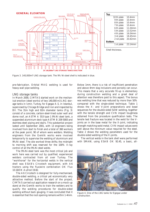![](_page_46_Figure_0.jpeg)

*Figure 3. 140,000m3 LNG storage tank. The 9% Ni-steel shell is indicated in blue.*

pre-fabrication. Orbital MAG welding is used for heavy-wall pipe welding.

#### LNG storage tanks

In March 2000, CIMTAS started work on the mechanical erection (steel works) of two 140,000 m3 LNG storage tanks in Izmir, Turkey, for Egegaz A.S. in Istanbul, supervised by Chicago Bridge and Iron and inspected by BV. The 31m high and 82m diameter tanks (Fig. 3) consist of a concrete, carbon-steel-lined outer wall and dome roof, an ASTM A 553 type 1 9%Ni steel tank, a suspended aluminium deck type ASTM B 209 5083 and stainless steel piping and stairs. This substantial project lasted until September 2001, with 13 engineers being involved from start to finish and a total of 360 workers at the peak point, 90 of whom were welders. Welding engineers from the Gemlik works were involved temporarily to supervise the welding of aluminium and 9%Ni steel. The site worked three shifts; the midnight to morning shift was reserved for the 100% X-ray control of all the 9%Ni steel welds.

The 9%Ni-steel tank was the most critical job and work here was carried out by qualified, experienced welders contracted from all over Turkey. The "workhorse" for the horizontal welds in the vertical shell was ESAB's Circotech equipment, with A6 tractors using the flux/wire combination OK Flux 10.16/OK Autrod 19.82.

The A6 Circotech is designed for fully-mechanised, double-sided welding, a critical yet economically very attractive method. Before the start of the project, CIMTAS carried out application research on a mock-up stand at the Gemlik works to train the welders and to qualify the welding procedures for double-sided welding without back gouging. It was concluded that it is essential that the root opening remains within 1-4mm.

Below 1mm, there is a risk of insufficient penetration and above 4mm slag inclusions and porosity can occur. This means that a very accurate fit-up is elementary during construction welding and a great deal of attention was therefore paid to this aspect. The bonus was welding time that was reduced by more than 50% compared with the single-sided technique. Table 1 shows the X- and V-joint preparations and bead sequences for the double-sided SAW welding, together with the tensile strength and CVN impact toughness obtained from the procedure qualification tests. The tensile test fracture was located in the weld for the Vjoints an in the base metal for the X-joint, indicating strength matching weld metal. CVN impact values were well above the minimum value required for the steel. Table 2 shows the welding parameters used for the double-sided welding of the X-joints.

The vertical welds in the tank shell were performed with SMAW, using ESAB OK 92.45, a basic, all-

![](_page_46_Picture_9.jpeg)

*Figure 4. One of the LNG tanks for Egegaz under construction.*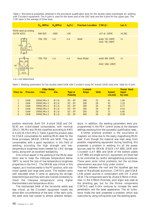*Table 1. Mechanical properties obtained in the procedure qualification tests for the double-sided submerged arc welding with Circotech equipment. The X-joint is used for the lower part of the LNG tank and the V-joint for the upper part. The CVN value is the average of three tests.*

|                                   | $R_m$ (MPa) | R <sub>p</sub> (MPa) | $A_5(\%)$ | <b>Fracture Location CVN (J)</b> |                                    | Lat. E. |
|-----------------------------------|-------------|----------------------|-----------|----------------------------------|------------------------------------|---------|
| 9%Ni steel according<br>ASTM A553 | 690-825     | >585                 | $>20$     |                                  | $>27$ at -195°C                    | >0.381  |
|                                   | 706, 705    | n.d                  | n.d       | Weld                             | weld: 76/-196°C<br>HAZ: 78/-196°C  | >1      |
| , 9.2<br>124<br>$2.4 -$<br>23.14  | 709, 702    | n.d                  | n.d       | <b>Base Metal</b>                | weld: 89/-196°C<br>HAZ: 180/-196°C | >1      |

n.d.= not determined

*Table 2. Welding parameters for the double-sided SAW with Circotech using OK Autrod 19.82 solid wire. Valid for X-joint.*

| Pass no.                                        | <b>Process</b>                                                                   | <b>Filler Metal</b><br><b>Class</b>                                              | Dia.                                                                                             | Type &<br><b>Polarity</b>                                                  | <b>Current</b><br><b>Amps</b>          | <b>Volts</b>                     | <b>Speed</b><br>cm/min           | <b>Travel Heat</b><br>Input<br>KJ/mm         |
|-------------------------------------------------|----------------------------------------------------------------------------------|----------------------------------------------------------------------------------|--------------------------------------------------------------------------------------------------|----------------------------------------------------------------------------|----------------------------------------|----------------------------------|----------------------------------|----------------------------------------------|
| $\overline{2}$<br>3<br>$\overline{4}$<br>5<br>6 | <b>SAW</b><br><b>SAW</b><br><b>SAW</b><br><b>SAW</b><br><b>SAW</b><br><b>SAW</b> | ERNICrMo-3<br>ERNICrMo-3<br>ERNICrMo-3<br>ERNICrMo-3<br>ERNICrMo-3<br>ERNICrMo-3 | $\varnothing$ 1.6<br>$\varnothing$ 1.6<br>Ø1.6<br>Ø1.6<br>$\varnothing$ 1.6<br>$\varnothing$ 1.6 | $DC - EP$<br>$DC - EP$<br>$DC - EP$<br>$DC - EP$<br>$DC - EP$<br>$DC - EP$ | 290<br>290<br>290<br>300<br>300<br>300 | 25<br>26<br>26<br>26<br>26<br>26 | 41<br>41<br>59<br>87<br>71<br>83 | 1.06<br>1.10<br>0.77<br>0.54<br>0.66<br>0.56 |

position electrode. Both OK Autrod 19.82 and OK 92.45 are nickel-based consumables, with nominal 22%Cr, 9%Mo and 3%Nb classified according to AWS A5.11/5.14: ENiCrMo-3. Table 3 gives the product data for ESAB consumables for welding 9%Ni steel for the three processes, SMAW, GMAW and SAW. They are consumables with a good reputation in this field of welding, providing the high strength and lowtemperature toughness levels needed for LNG storage tanks, along with an excellent weldability.

One critical aspect in the welding of the 9%Ni-steel tanks was to keep the interpass temperature below 100°C to avoid the loss of low-temperature toughness properties in the HAZ. The SMAW was critical in this respect, as it involves welds in the PF position, with low travel speeds and large weld pools. The welders were well educated when it came to applying the stringer bead technique and they were also trained constantly to check the interpass temperature using digital thermometers and temperature sticks.

The mechanised SAW of the horizontal welds was less critical, as the Circotech equipment travels the whole 45m circumference of the tank. After each cycle, the weld zone had cooled to almost ambient temper-

ature. In addition, the welding parameters were preprogrammed in the PEH control boxes at the standard settings resulting from the successful qualification tests.

Another practical problem is the occurrence of magnetic arc blow due to the easily magnetising 9%Ni steel. Even though the material was kept away from possible magnetising equipment during handling, this presented a problem in welding. As all the power sources used for SMAW (ESAB LHF 800), SAW with Circotech (LAF 800) and SAW of the bottom plates (LAF 800) are single-wire DC equipment, arc blow had to be controlled by careful demagnetising procedures. There were some initial problems, but the arc-blow phenomenon was soon fully under control.

The deck between the roof and the liquefied gas was made of Mg-alloyed aluminium. CIMTAS used ESAB LAW power sources in combination with OK Autrod 18.16. The components were 50, 25 and 4.76mm in thickness. In the 4.76mm thickness, pure argon was used as the shielding gas, but for the thicker components CIMTAS used Ar/He mixtures to increase the weld penetration and the bead appearance. The air turbulence inside the tank presented a problem, which was overcome by using rolling tents over the welding spots.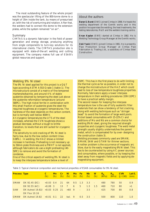The most outstanding feature of the whole project was the spectacular lifting of the 800-tonne dome to a height of 35m inside the tank, by means of pressurised air, with the risk of overturning and rotation. After that, the welders had to connect the dome to the extension plates, while the system remained "on air".

#### **Summary**

CIMTAS is a dynamic fabricator in the field of power generation and energy storage, producing anything from single components to turn-key solutions for its international clients. The CIMTAS production site is equipped with state-of-the-art welding and cutting equipment. The company makes full use of ESAB's global resources and support.

### *About the authors*

**Baran S. Burat** (EWE) joined Cimtas in 1998. He heads the welding department of the Gemlik works and in this position he supervises the welding, the heat treatments, the testing laboratories, R&D and the welders training centre.

**Ercan Kaplan** (EWE) started at Cimtas in 1982. He is Welding Technology Group Manager at the Gemlik works.

**Zeki Yazici** (EWE) joined Cimtas in 1981. He is presently Pipe Production Group Manager at Cimtas Pipe Fabrication & Trading Ltd., a subsidiary of Cimtas Steel Construction.

#### Welding 9% Ni steel

The 9% Ni steel applied for this project is a Q&T type according ASTM A553 Grade 1 (table 1). The microstructure consist of a matrix of fine tempered martensite/bainite, and around 4 % of stable austenite obtained by tempering the steel just above the austenite reformation temperature (around 580ºC). The high nickel ferrite in combination with this small fraction of austenite gives the steel the required toughness at cryogenic temperatures. The hardness of the steel depends on the carbon content, but is normally well below 400HV.

At cryogenic temperatures the UTS of the steel increases, whereas the CVN toughness shows a gradual decrease, without a tough to brittle transition, to levels that are still suited for cryogenic service.

The sensitivity to cold cracking of 9% Ni steel is fairly low, due to the low carbon content (max. 0.08%). In welding, the HAZ shows a limited increase in hardness. Preheating is not necessary up to 50mm plate thickness and a PWHT is not applied, although fabricators do use a slight preheating (40- 50ºC) to remove and avoid the formation of condense.

One of the critical aspects of welding 9% Ni steel is to keep the interpass temperature below a level of

150ºC. This has in the first place to do with limiting the thermal cycle as far as possible, in order not to change the microstructure of the HAZ which could lead to loss of low-temperature toughness properties. Normally, fabricators apply a lower interpass temperature in their welding procedures (100-110ºC) to have a practical safety margin. The second reason for keeping the interpass temperature low is the use of fully austenitic filler materials that can show a tendency of hot cracking, along with welding techniques such as "stringer bead" to avoid the formation of large weld pools. Nickel based consumables with 15-22%Cr and additions of Mo and Nb are a common choice for welding 9%Ni steel, giving the required strength properties and cryogenic toughness. The weld metal strength usually slightly undermatches the parent metal, which is compensated for by over- designing the construction (table 3). Welding processes commonly used are SMAW, GMAW, SAW and GTAW for thinner sections. Another problem is the occurrence of magnetic arc blow, due to the easily magnetising 9%Ni steel. This

has to be counteracted by using AC power sources and consumables, where possible, or by keeping the steel away from magnetic fields and by applying demagnetising equipment.

*Table 3: Typical chemical composition and mechanical properties of ESAB consumables for 9% Ni steel.*

| <b>Process Type</b> |                                                            | C.<br>(% )                 | Mn.<br>(% ) | - Cr<br>(% )       | - Ni<br>(% ) | Mo Fe<br>$(\%)$ $(\%)$ |                                 | N <sub>b</sub><br>$(\%)$ | W<br>$(\%)$       | $R_{p}$<br>(MPa) | $R_m$      | <b>CVN</b><br>$(MPa)$ $(J/-196)$ | Lat E.<br>(mm) |
|---------------------|------------------------------------------------------------|----------------------------|-------------|--------------------|--------------|------------------------|---------------------------------|--------------------------|-------------------|------------------|------------|----------------------------------|----------------|
| <b>SMAW</b>         | OK 92.45 (DC)<br>OK 92.55 (AC)                             | $< 0.03$ 0.4<br>$< 0.08$ 3 |             | 21<br>$13 \quad 7$ |              | $6 -$                  | $64$ 9.5 1.3 3.3<br>$5^{\circ}$ | 1.3                      | $\sim 100$<br>1.5 | 480<br>460       | 780<br>710 | 50<br>80                         | 0.9<br>>1      |
| <b>SAW</b>          | OK Autrod 19.82/ < 0.03 0.25 21 $>60$ 9 -<br>OK Flux 10.16 |                            |             |                    |              |                        |                                 | $3.5 -$                  |                   | 425              | 700        | 80                               | 0.8            |
| <b>GMAW</b>         | OK Autrod 19.82                                            | < 0.01                     | 0.1         | 22                 | bal. 9       |                        | $0.5 \quad 3.5$                 | $\sim 100$               |                   | 500              | 800        | 110                              | 1.0            |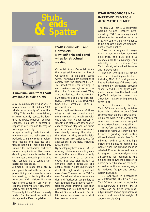<span id="page-49-0"></span>![](_page_49_Picture_0.jpeg)

![](_page_49_Picture_1.jpeg)

**Aluminium wire from ESAB available in bulk drums**

AlcoTec aluminium welding wire is now available in the AlumaPak®, which has a capacity of more than 135kg. This new bulk wire delivery system drastically reduces the downtime otherwise required for spool changes. This has a substantial impact on arc time and thereby on welding productivity.

A special coiling technique with minimum cast and helix assures a perfectly straight wire for problemfree feeding and accurate positioning in the joint, making it highly suitable for mechanised and even robotic applications. No special decoiling equipment is needed. The system uses a reusable plastic cone with conduit and a conduit connector for fast set-up.

AlumaPak is made from sturdy corrugated board with an internal plastic lining and a moisture-resistant coating, protecting the wire from dust and moisture. It comes with lifting straps for use with an optional lifting yoke for easy transport by fork-lift or crane.

The empty AlumaPak can be easily folded flat by hand for efficient storage and is 100% recyclable.

**ESAB Coreshield 6 and Coreshield 8 New self-shielded cored wires for structural welding**

Coreshield 6 and Coreshield 8 are the latest additions to the line of Coreshield self-shielded cored wires. They have been developed to comply with the stringent FEMA 353 specifications for welding in earthquake-prone regions, such as the United States west coast. They are classified according to AWS A 5.20-95: E70T-6 and E71T-8 respectively. Coreshield 6 is a downhand type, while Coreshield 8 is an allpositional type.

The exceptional feature of these wires is that they combine weld metal strength and toughness with extremely high welder appeal. A smooth and stable arc, low spatter, easy-to-remove slag and low fume production make these wires more user friendly than any other wire in their class. As they are self-shielding, they are also easier to use for applications in the field, including retrofit work.

By developing these wires, ESAB is offering fabricators a welding consumable that allows them not only to comply with strict building codes, but also significantly to enhance their productivity and enable easier welder qualification due to the high welder appeal and ease of use. The reaction to ESAB's new Coreshield wires – from erection and fabrication companies, as well as union organisations responsible for welder training – has been extremely positive, not only in the United States but also in Pacific Rim countries where the product has been introduced.

# **ESAB INTRODUCES NEW IMPROVED EYE-TECH AUTOMATIC HELMET**

The new Eye-Tech 5-13 automatic welding helmet, recently introduced by ESAB, offers significant advantages to the welder in terms of safety, comfort and convenience to help ensure higher welding productivity and quality.

Based on an ergonomic design that incorporates modern, advanced electronics, the Eye-Tech 5-13 embodies all the advantages and reliability of the traditional Eye-Tech helmet, with added features and improvements.

The new Eye-Tech 5-13 can be used for most welding applications, including MIG, TIG and gas welding, as the darkness of the eye shade is continually adjustable between shades 5 and 13. The stylish automatic helmet has the traditional Eye-Tech design but comes in an attractive, heat-reflecting metallic silver finish.

Powered by solar cells, the Eye-Tech 5-13 automatically switches from light to dark in only 0.0002 seconds when an arc is struck, providing the welder with exceptional safety and convenience, coupled with outstanding optical quality.

To perform cutting and grinding operations without removing the helmet, a grinding mode button allows the lens to remain clear for 10 minutes – with a red warning light inside the helmet to remind the wearer when the grinding mode is selected. Comfort is assured thanks to stepless, continuously-variable adjustment for positioning the helmet that allows the operator to obtain perfect balance on the head, as well as optimum viewing angle for reduced fatigue and greater welding accuracy.

CE approved in accordance with EN166/379, the ESAB Eye-Tech 5-13 can be used throughout a wide temperature range of –5ºC to +55ºC, can be fitted with magnifying lenses and an optional fresh air unit and has a total weight of approximately 500g.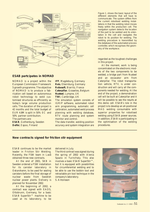![](_page_50_Figure_0.jpeg)

# **ESAB partcipates in NOMAD**

NOMAD is a project within the European Commission Framework 5 growth programme. The objective of NOMAD is to produce a fabrication cell based on autonomous robot technology to weld customised structures as efficiently as today's large volume production cells. The duration of the project is 42 months and the total budget of EUR 4.8M is split in 50% EC and 50% partner contribution. The partners are:

**ESAB**, Gothenburg, Sweden **Delfoi**, Espoo, Finland

**IFF**, Magdeburg, Germany **Reis**, Obernburg, Germany **Robosoft**, Biarritz, France **Caterpillar**, Gosselies, Belgium **Nusteel**, Lympne, UK **TWI**, Cambridge, UK

The simulation system consists of IGRIP software, automated robot arm programming, automatic cell calibration, automated weld process planning with welding database, RTV route planning and system monitor and control.

The data transfer, welding position accuracy and system integration are

*Figure 1. shows the basic layout of the different elements that will have to communicate. The system differs from the current robotised welding installations in that the welding robot moves freely within the production cell. The navigation system detects the location of the part to be welded and its orientation in the cell and navigates the robot to its position for welding. The welding procedure is transmitted by the database of the automated process controller, which recognises the geometry of the workpiece.*

regarded as the toughest challenges in this project.

At the moment, work is being concentrated on the electronic models of the two components to be welded, a bridge part from Nusteel and an excavator arm from Caterpillar. The robot transportation vehicle, RTV, is under construction and will carry all the components needed for welding. At the end of the project, a demonstration cell will be built at Caterpillar and it will be possible to see the results at this demo cell. ESAB's role in the project is to develop an all-positional MAG welding consumable with superior properties for robotised welding using ESAB power sources. In addition, ESAB is participating in the optimisation of the welding procedures.

# **New contracts signed for friction stir equipment**

ESAB continues to be the market leader in Friction Stir Welding. Recently, the FSW team in Laxå obtained three new contracts.

At the end of 2001, SKB in Sweden ordered a FSW installation for its canister laboratory in Oskarshamn, to be used for sealing canisters before the final storage of nuclear waste from Swedish nuclear power plants. Delivery is planned for November 2002.

At the beginning of 2002, a contract was signed with EADS, Ottobrunn, Germany, for a basic ESAB SuperStir™ machine to be used at its laboratory, to be

delivered in July.

The third contract was signed during the spring of 2002 with Alenia Spazio in Turin/Italy. This also involves a basic ESAB SuperStir™, but it is equipped with possibilities for circumferential welding and to be able to use the bobbin tool and retractable pin tool technique in the company's laboratory. S. Antonsson

![](_page_50_Picture_16.jpeg)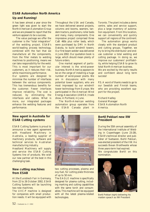# **ESAB Automation North America**

# **Up and Running!**

It has been almost a year since the green light was given to start the North American Automation Group and we are pleased to report that the venture appears to be a success.

The value package we offer the customer is the "total integration" of the welding project. ESAB's world-leading process technology, combined with the fact that we manufacture all the components, from the filler metals to welding machines to positioning, means we can take responsibility for the weld. This is most important for our customers, as it reduces their risk, while maximising performance.

Our systems are designed to minimise the number of interfaces between the various components. This has tremendous benefits for the customer. Fewer interfaces improve reliability. The cost is reduced, by eliminating the interfaces and cables. What is more, our integrated packages enhance the welding features and performance.

Throughout the USA and Canada, we have delivered several projects, columns and booms, seamers, tandem tractors, positioners, roller beds and many, many components. One impressive project comprised three CaB 460s plus roller beds, which were purchased by DMI in North Dakota, to build windmill towers. Our first beam welder was delivered in June 2002. Our quotation book is large, which should mean plenty of future orders.

One market segment of particular interest is the wind-power business. North America appears to be on the verge of installing a huge number of wind-power plants. We are in discussions with many potential tower suppliers, who are most impressed by our windmill tower technology from Europe. We participated in the American Wind Energy Association (AWEA) trade show, in Portland, in June.

The North-American welding automation group operates from the ESAB Canada plant in

Toronto. The plant includes a demo centre, sales and service support, plus a large inventory of automation equipment. From this location, we can conveniently and quickly support all regions of the continent.

The automation group works closely with the standard product and cutting groups. Together, we try to bring the distributor and enduse customer a total welding and cutting package. In doing so, we improve our customers' profitability, while helping ESAB to grow its total North-American business.

We are excited by the early results and confident about long term success!

P.S. A word of thanks needs to go to our Swedish and Finnish teams, who are providing excellent support for the project.

Richard Hadley General Manager ESAB Automation North America.

# **New agent in Australia for ESAB Cutting systems**

ESAB Cutting Systems is proud to announce a new agent agreement with Headland Machinery in Australia, a leading supplier of machinery products, software and technical services to Australian manufacturing industry.

Headland Machinery will supply and service the ESAB Cutting Systems line of products. We wish our new partner all the best in this challenging task.

# **New cutting machines from ESAB**

At the Euroblech Fair in Germany, from 22 to 26 October 2002, ESAB Cutting Systems will be launching two new machines.

The UXC-P machine is designed for companies with small production needs. It will be equipped with

![](_page_51_Picture_19.jpeg)

two cutting processes, plasma and oxy-fuel, for cutting plate thickness of up to 50 mm.

The EAGLE machine is specifically designed for plasma cutting, including marking and cutting capabilities with the same torch and consumables. This machine will be equipped with all the latest plasma-related technologies.

### **Bertil Pekkari new IIW President**

During the 55th annual assembly of the International Institute of Welding in Copenhagen (June 23-28), ESAB's technical director and publisher of Svetsaren, Bertil Pekkari, was elected president of the IIW. He succeeds Bevan Braithwaite whose three years-term had expired. We congratulate Bertil on this nomination.

![](_page_51_Picture_24.jpeg)

*Bertil Pekkari (right) delivering his maiden speach as IIW President*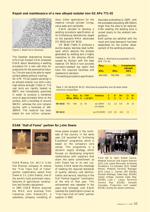### **Repair and maintenance of a new alloyed nodular iron SG APe 771-02**

![](_page_52_Picture_1.jpeg)

The Swedish engineering bureau APe Allan Persson HAB contacted ESAB about developing a welding procedure for a new cast alloy for press tools for the automotive industry. The aim was to be able to repair surface defects without cracking.

SG APE 771-02 (patent pending) is an alloyed nodular iron with a very high tensile strength (Table 1). The cast tools are rapidly heated to 900°C and immediately quenched in water to produce a hardened zone of approximately 4mm on the surface, with a hardness of around 56HRC, whereas the core remains ductile, with a hardness of 240- 280HB. The material has been tested for one million compressions. Other applications for the material include cylinder linings, valve seats and camshafts.

ESAB decided to develop a welding procedure specification at its Gothenburg laboratories, based on the standard MMA electrodes OK 68.82 and OK 84.52.

ductile duplex stainless steel buffer opment of the welding procedure.<br>Figure 1. Weld micro structure. OK 68.82 (Table 2) produces a layer which absorbs the stresses generated by welding and is highly insensitive to the alloying effects caused by dilution with the base material. OK 84.52 in turn provides corrosion-resistant top layers that have the required hardness and resistance to abrasion.

The welding procedure specification

stipulates preheating to 350ºC, with the preheated area being 100-150mm larger than the area to be repaired. After welding, the welding zone is cooled slowly to the ambient temperature.

Both parties are satisfied with the result and close teamwork has been established for the further devel-

*Table 1. Mechanical properties of SG APE 771-02.* 

| $Rp_{0.2}$<br>MPa | $R_m$<br><b>MPa</b> | <b>Compression</b><br>strength<br>MPa |
|-------------------|---------------------|---------------------------------------|
| 440-640           | 700-900             | 1500                                  |

*Table 2. OK 68.82/OK 84.52. Mechanical properties and all weld metal chemical composition.*

|                               | $R_m$ |                                | $(MPa)$ (MPa) % J at 20 $^{\circ}$ C | R <sub>P02</sub> A <sub>5</sub> CNV Hardness C Si | $\frac{9}{6}$ | Mn Cr<br>$\%$ % | $\%$ % | - Ni |
|-------------------------------|-------|--------------------------------|--------------------------------------|---------------------------------------------------|---------------|-----------------|--------|------|
| <b>OK 68.82</b> 750 500 23 40 |       |                                |                                      | aw 240HV 0.1 1.0 0.8 29 10<br>wh 450HV            |               |                 |        |      |
| OK 84.52 -                    |       | and the company of the company |                                      | aw 50-56HRC $0.25$ $0.5$ $\lt 0.5$ 13 -           |               |                 |        |      |

### **ESAB "Hall of Fame" partner for John Deere**

![](_page_52_Picture_16.jpeg)

ESAB Mexico, S.A. de C.V. is the first Mexican company to receive the "Five Years Hall of Fame" partner classification award from Deere & Co. (John Deere), one of the world's most prominent manufacturers of agricultural, construction and forestry equipment.

In 1997, ESAB Mexico acquired the MAG wire business from Industrias John Deere(IJD), a subsidiary company consisting of

three plants located in the northeast of the country. In the same year, IJD launched its "Achieving Excellence" programme, which is based on the company's core values. This programme is a dynamic supply strategy, which focuses on developing long-term relationships with suppliers that share the same commitment as John Deere has to its own customers. ESAB faced the challenge of meeting the required standards of quality, delivery, cost administration and service, resulting in the first "Partner Supplier" nomination at the end of that year. This achievement was repeated in the years that followed, until ESAB reached the classification known as "Five Years Hall of Fame" partner supplier in 2002.

![](_page_52_Picture_20.jpeg)

*From left to right: Rafael Garcia, Material Services and Export Director (IJD); Luis Lopez Moncada, Achieving Excellence Co-ordinator (IJD); Rafael Manzo, Material Services Manager (IJD); Jesus C. Gomez, MD (ESAB); Ricardo Madrigal, Sales Rep. (ESAB); Sergio Ortega, General Sales Mgr. (ESAB); Juan J. Lopez, Technical Service Mgr. (ESAB); Gerardo Gonzales, Production Unit Leader (ESAB), during the award ceremony.*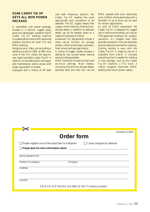# **ESAB CADDY TIG HF GETS ALL NEW POWER PACKAGE**

A completely new power package, housed in a familiar rugged body, gives the lightweight, versatile ESAB Caddy Tig HF welding machine increased performance with advanced welding functions for both TIG and MMA welding.

Weighing only 5.9kg, yet providing a welding current of 150A at 30% duty cycle in the TIG mode, the easy-touse, highly portable Caddy Tig HF is ideal for on-site fabrication and repair and maintenance where access with larger equipment is limited.

Equipped with a choice of lift start

and high frequency ignition, the Caddy Tig HF enables the most appropriate start procedure to be selected. The DC supply means that copper, nickel, titanium, mild and lowalloyed steels, in addition to stainless steels, can all be welded, down to a material thickness of 0.5mm.

Advanced TIG adjustments include a menu set-up function for pre-gas time(s), initial current slope-up time(s), final current and post-gas time(s).

A choice of trigger modes includes a setting for two current levels, making manual pulsing possible.

MMA functions include hot-start and arc-force settings. Most metals, including mild and low-alloyed steels, stainless steel and cast iron, can be MMA welded with stick electrodes up to 3.25mm, while electrodes with a diameter of up to 4mm can be used for certain applications.

As with all ESAB equipment, the Caddy Tig HF is designed for rugged use in harsh environments, as it has an IP23-approved enclosure for outdoor operation. An integral dust filter provides protection from the elements and can easily be removed for cleaning. Getting started is easy with the Caddy Tig HF. A ready-to-use kit is available from ESAB. It includes everything that is needed for welding in one package, such as the Caddy Tig HF machine, a TIG torch, a 1.6mm tungsten electrode, MMA welding and return power cables.

| Svetsaren 2/2002<br>Order form                                                      |  |  |  |  |  |  |  |  |  |
|-------------------------------------------------------------------------------------|--|--|--|--|--|--|--|--|--|
| Please register me as free subscriber to Svetsaren $\Box$ I have changed my address |  |  |  |  |  |  |  |  |  |
|                                                                                     |  |  |  |  |  |  |  |  |  |
|                                                                                     |  |  |  |  |  |  |  |  |  |
| Name (please print)                                                                 |  |  |  |  |  |  |  |  |  |
| Position in company<br>Company                                                      |  |  |  |  |  |  |  |  |  |
| <b>Address</b>                                                                      |  |  |  |  |  |  |  |  |  |
|                                                                                     |  |  |  |  |  |  |  |  |  |
| Country                                                                             |  |  |  |  |  |  |  |  |  |
| ESAB AB, SVETSAREN, Box 8004, SE-402 77 Göteborg, Sweden                            |  |  |  |  |  |  |  |  |  |